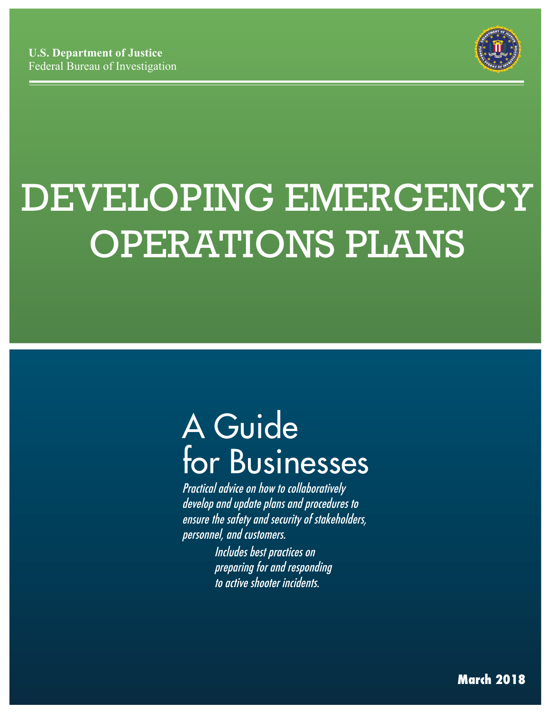

# DEVELOPING EMERGENCY OPERATIONS PLANS

# A Guide for Businesses

 Practical advice on how to collaboratively develop and update plans and procedures to ensure the safety and security of stakeholders, personnel, and customers.

Includes best practices on preparing for and responding to active shooter incidents.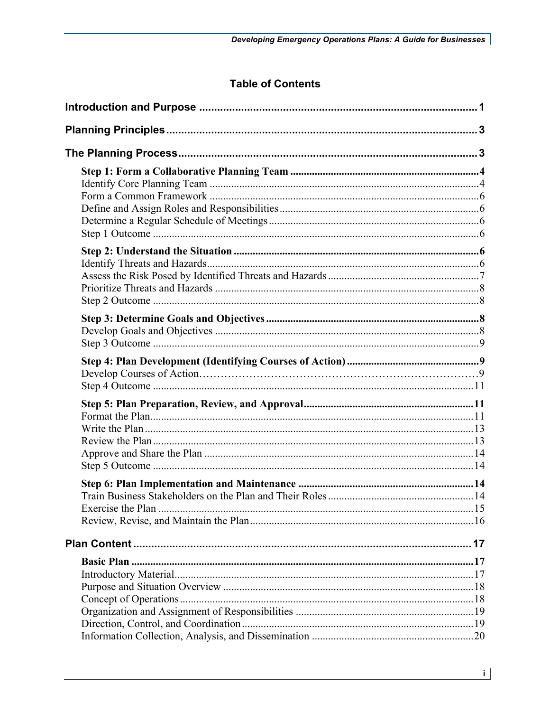# **Table of Contents**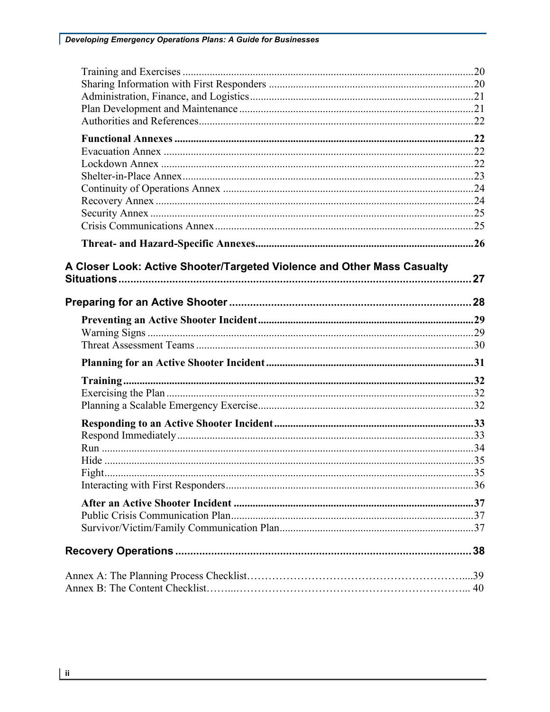| A Closer Look: Active Shooter/Targeted Violence and Other Mass Casualty |  |
|-------------------------------------------------------------------------|--|
|                                                                         |  |
|                                                                         |  |
|                                                                         |  |
|                                                                         |  |
|                                                                         |  |
|                                                                         |  |
|                                                                         |  |
|                                                                         |  |
|                                                                         |  |
|                                                                         |  |
|                                                                         |  |
|                                                                         |  |
|                                                                         |  |
|                                                                         |  |
|                                                                         |  |
|                                                                         |  |
|                                                                         |  |
|                                                                         |  |
|                                                                         |  |
|                                                                         |  |
|                                                                         |  |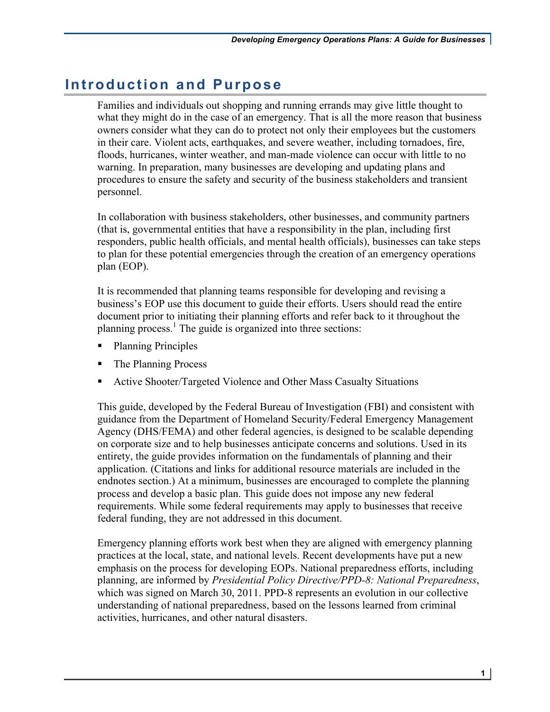# **Introduction and Purpose**

 floods, hurricanes, winter weather, and man-made violence can occur with little to no warning. In preparation, many businesses are developing and updating plans and procedures to ensure the safety and security of the business stakeholders and transient Families and individuals out shopping and running errands may give little thought to what they might do in the case of an emergency. That is all the more reason that business owners consider what they can do to protect not only their employees but the customers in their care. Violent acts, earthquakes, and severe weather, including tornadoes, fire, personnel.

 responders, public health officials, and mental health officials), businesses can take steps In collaboration with business stakeholders, other businesses, and community partners (that is, governmental entities that have a responsibility in the plan, including first to plan for these potential emergencies through the creation of an emergency operations plan (EOP).

 document prior to initiating their planning efforts and refer back to it throughout the planning process.<sup>1</sup> The guide is organized into three sections: It is recommended that planning teams responsible for developing and revising a business's EOP use this document to guide their efforts. Users should read the entire

- Planning Principles
- The Planning Process
- Active Shooter/Targeted Violence and Other Mass Casualty Situations

 This guide, developed by the Federal Bureau of Investigation (FBI) and consistent with guidance from the Department of Homeland Security/Federal Emergency Management endnotes section.) At a minimum, businesses are encouraged to complete the planning process and develop a basic plan. This guide does not impose any new federal requirements. While some federal requirements may apply to businesses that receive Agency (DHS/FEMA) and other federal agencies, is designed to be scalable depending on corporate size and to help businesses anticipate concerns and solutions. Used in its entirety, the guide provides information on the fundamentals of planning and their application. (Citations and links for additional resource materials are included in the federal funding, they are not addressed in this document.

 practices at the local, state, and national levels. Recent developments have put a new which was signed on March 30, 2011. PPD-8 represents an evolution in our collective Emergency planning efforts work best when they are aligned with emergency planning emphasis on the process for developing EOPs. National preparedness efforts, including planning, are informed by *Presidential Policy Directive/PPD-8: National Preparedness*, understanding of national preparedness, based on the lessons learned from criminal activities, hurricanes, and other natural disasters.

**1**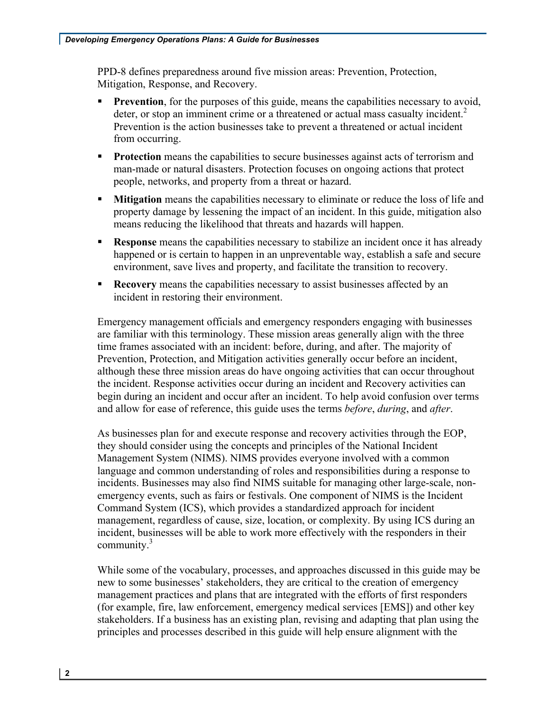PPD-8 defines preparedness around five mission areas: Prevention, Protection, Mitigation, Response, and Recovery.

- **Prevention**, for the purposes of this guide, means the capabilities necessary to avoid, deter, or stop an imminent crime or a threatened or actual mass casualty incident. $2$ Prevention is the action businesses take to prevent a threatened or actual incident from occurring.
- **Protection** means the capabilities to secure businesses against acts of terrorism and man-made or natural disasters. Protection focuses on ongoing actions that protect people, networks, and property from a threat or hazard.
- property damage by lessening the impact of an incident. In this guide, mitigation also • **Mitigation** means the capabilities necessary to eliminate or reduce the loss of life and means reducing the likelihood that threats and hazards will happen.
- happened or is certain to happen in an unpreventable way, establish a safe and secure environment, save lives and property, and facilitate the transition to recovery. **• Response** means the capabilities necessary to stabilize an incident once it has already
- • **Recovery** means the capabilities necessary to assist businesses affected by an incident in restoring their environment.

 Emergency management officials and emergency responders engaging with businesses time frames associated with an incident: before, during, and after. The majority of begin during an incident and occur after an incident. To help avoid confusion over terms and allow for ease of reference, this guide uses the terms *before*, *during*, and *after*. are familiar with this terminology. These mission areas generally align with the three Prevention, Protection, and Mitigation activities generally occur before an incident, although these three mission areas do have ongoing activities that can occur throughout the incident. Response activities occur during an incident and Recovery activities can

 they should consider using the concepts and principles of the National Incident Management System (NIMS). NIMS provides everyone involved with a common incidents. Businesses may also find NIMS suitable for managing other large-scale, non- emergency events, such as fairs or festivals. One component of NIMS is the Incident community. $3$ As businesses plan for and execute response and recovery activities through the EOP, language and common understanding of roles and responsibilities during a response to Command System (ICS), which provides a standardized approach for incident management, regardless of cause, size, location, or complexity. By using ICS during an incident, businesses will be able to work more effectively with the responders in their

 new to some businesses' stakeholders, they are critical to the creation of emergency stakeholders. If a business has an existing plan, revising and adapting that plan using the While some of the vocabulary, processes, and approaches discussed in this guide may be management practices and plans that are integrated with the efforts of first responders (for example, fire, law enforcement, emergency medical services [EMS]) and other key principles and processes described in this guide will help ensure alignment with the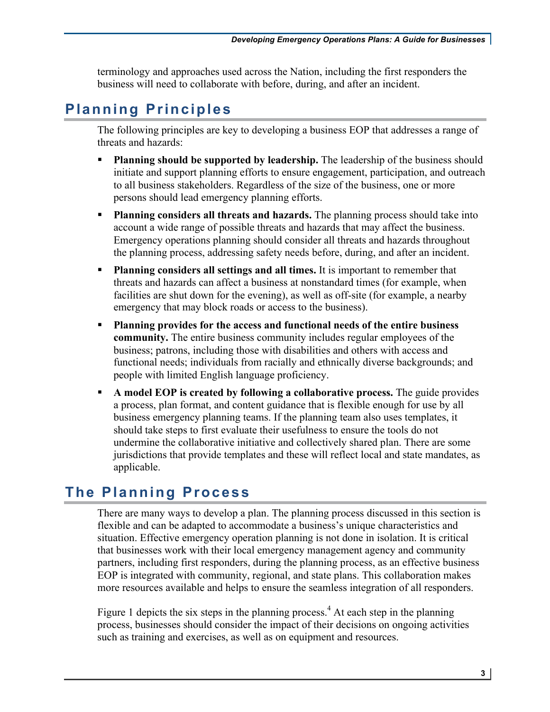business will need to collaborate with before, during, and after an incident. terminology and approaches used across the Nation, including the first responders the

# **Planning Principles**

 The following principles are key to developing a business EOP that addresses a range of threats and hazards:

- **Planning should be supported by leadership.** The leadership of the business should to all business stakeholders. Regardless of the size of the business, one or more initiate and support planning efforts to ensure engagement, participation, and outreach persons should lead emergency planning efforts.
- account a wide range of possible threats and hazards that may affect the business. Emergency operations planning should consider all threats and hazards throughout • **Planning considers all threats and hazards.** The planning process should take into the planning process, addressing safety needs before, during, and after an incident.
- • **Planning considers all settings and all times.** It is important to remember that threats and hazards can affect a business at nonstandard times (for example, when facilities are shut down for the evening), as well as off-site (for example, a nearby emergency that may block roads or access to the business).
- **Planning provides for the access and functional needs of the entire business community.** The entire business community includes regular employees of the business; patrons, including those with disabilities and others with access and people with limited English language proficiency. functional needs; individuals from racially and ethnically diverse backgrounds; and
- • **A model EOP is created by following a collaborative process.** The guide provides a process, plan format, and content guidance that is flexible enough for use by all business emergency planning teams. If the planning team also uses templates, it undermine the collaborative initiative and collectively shared plan. There are some should take steps to first evaluate their usefulness to ensure the tools do not jurisdictions that provide templates and these will reflect local and state mandates, as applicable.

# **The Planning Process**

 flexible and can be adapted to accommodate a business's unique characteristics and situation. Effective emergency operation planning is not done in isolation. It is critical that businesses work with their local emergency management agency and community partners, including first responders, during the planning process, as an effective business EOP is integrated with community, regional, and state plans. This collaboration makes more resources available and helps to ensure the seamless integration of all responders. There are many ways to develop a plan. The planning process discussed in this section is

Figure 1 depicts the six steps in the planning process.<sup>4</sup> At each step in the planning process, businesses should consider the impact of their decisions on ongoing activities such as training and exercises, as well as on equipment and resources.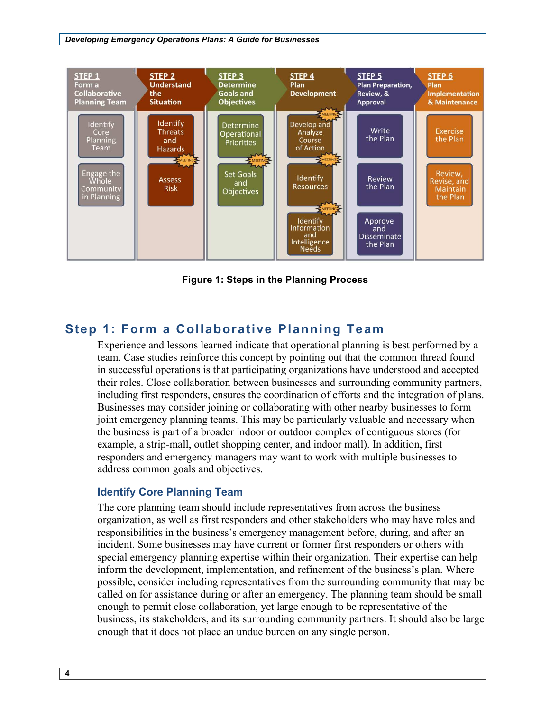#### *Developing Emergency Operations Plans: A Guide for Businesses*



 **Figure 1: Steps in the Planning Process** 

# **Step 1: Form a Collaborative Planning Team**

 their roles. Close collaboration between businesses and surrounding community partners, Businesses may consider joining or collaborating with other nearby businesses to form example, a strip-mall, outlet shopping center, and indoor mall). In addition, first responders and emergency managers may want to work with multiple businesses to address common goals and objectives. Experience and lessons learned indicate that operational planning is best performed by a team. Case studies reinforce this concept by pointing out that the common thread found in successful operations is that participating organizations have understood and accepted including first responders, ensures the coordination of efforts and the integration of plans. joint emergency planning teams. This may be particularly valuable and necessary when the business is part of a broader indoor or outdoor complex of contiguous stores (for

#### **Identify Core Planning Team**

 The core planning team should include representatives from across the business organization, as well as first responders and other stakeholders who may have roles and responsibilities in the business's emergency management before, during, and after an incident. Some businesses may have current or former first responders or others with special emergency planning expertise within their organization. Their expertise can help inform the development, implementation, and refinement of the business's plan. Where called on for assistance during or after an emergency. The planning team should be small enough to permit close collaboration, yet large enough to be representative of the business, its stakeholders, and its surrounding community partners. It should also be large enough that it does not place an undue burden on any single person. possible, consider including representatives from the surrounding community that may be

**4**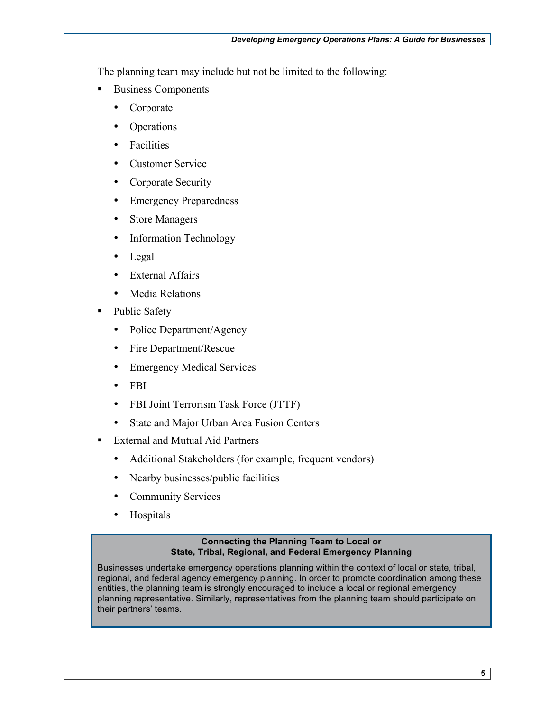The planning team may include but not be limited to the following:

- **•** Business Components
	- Corporate
	- **Operations**
	- Facilities
	- Customer Service
	- Corporate Security
	- Emergency Preparedness
	- Store Managers
	- Information Technology
	- Legal
	- External Affairs
	- Media Relations
- Public Safety
	- Police Department/Agency
	- Fire Department/Rescue
	- Emergency Medical Services
	- FBI
	- FBI Joint Terrorism Task Force (JTTF)
	- State and Major Urban Area Fusion Centers
- **External and Mutual Aid Partners** 
	- Additional Stakeholders (for example, frequent vendors)
	- Nearby businesses/public facilities
	- Community Services
	- Hospitals

#### **Connecting the Planning Team to Local or State, Tribal, Regional, and Federal Emergency Planning**

 Businesses undertake emergency operations planning within the context of local or state, tribal, regional, and federal agency emergency planning. In order to promote coordination among these entities, the planning team is strongly encouraged to include a local or regional emergency planning representative. Similarly, representatives from the planning team should participate on their partners' teams.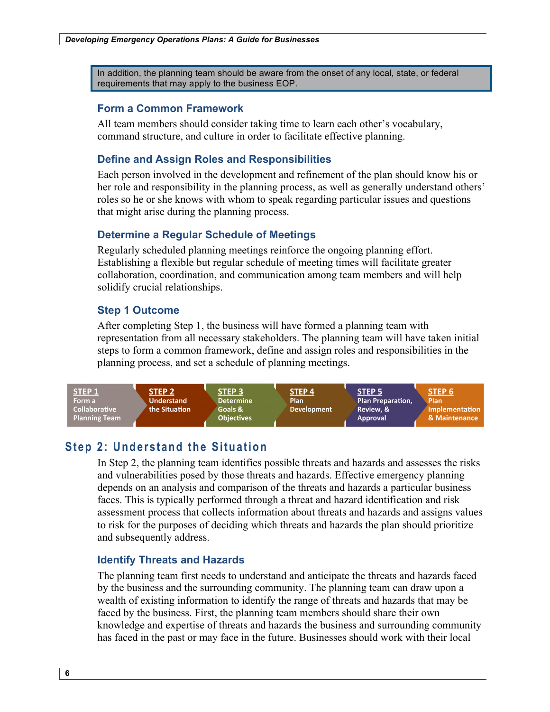In addition, the planning team should be aware from the onset of any local, state, or federal requirements that may apply to the business EOP.

#### **Form a Common Framework**

All team members should consider taking time to learn each other's vocabulary, command structure, and culture in order to facilitate effective planning.

#### **Define and Assign Roles and Responsibilities**

 roles so he or she knows with whom to speak regarding particular issues and questions Each person involved in the development and refinement of the plan should know his or her role and responsibility in the planning process, as well as generally understand others' that might arise during the planning process.

#### **Determine a Regular Schedule of Meetings**

Regularly scheduled planning meetings reinforce the ongoing planning effort. Establishing a flexible but regular schedule of meeting times will facilitate greater collaboration, coordination, and communication among team members and will help solidify crucial relationships.

#### **Step 1 Outcome**

 After completing Step 1, the business will have formed a planning team with planning process, and set a schedule of planning meetings. representation from all necessary stakeholders. The planning team will have taken initial steps to form a common framework, define and assign roles and responsibilities in the



# **Step 2: Understand the Situation**

 In Step 2, the planning team identifies possible threats and hazards and assesses the risks depends on an analysis and comparison of the threats and hazards a particular business assessment process that collects information about threats and hazards and assigns values and vulnerabilities posed by those threats and hazards. Effective emergency planning faces. This is typically performed through a threat and hazard identification and risk to risk for the purposes of deciding which threats and hazards the plan should prioritize and subsequently address.

#### **Identify Threats and Hazards**

 by the business and the surrounding community. The planning team can draw upon a faced by the business. First, the planning team members should share their own knowledge and expertise of threats and hazards the business and surrounding community has faced in the past or may face in the future. Businesses should work with their local The planning team first needs to understand and anticipate the threats and hazards faced wealth of existing information to identify the range of threats and hazards that may be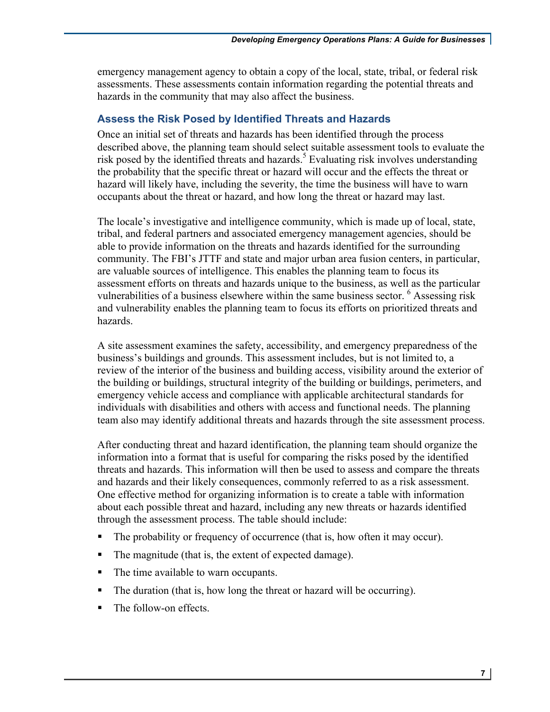emergency management agency to obtain a copy of the local, state, tribal, or federal risk assessments. These assessments contain information regarding the potential threats and hazards in the community that may also affect the business.

#### **Assess the Risk Posed by Identified Threats and Hazards**

 described above, the planning team should select suitable assessment tools to evaluate the the probability that the specific threat or hazard will occur and the effects the threat or hazard will likely have, including the severity, the time the business will have to warn Once an initial set of threats and hazards has been identified through the process risk posed by the identified threats and hazards.<sup>5</sup> Evaluating risk involves understanding occupants about the threat or hazard, and how long the threat or hazard may last.

 The locale's investigative and intelligence community, which is made up of local, state, tribal, and federal partners and associated emergency management agencies, should be community. The FBI's JTTF and state and major urban area fusion centers, in particular, are valuable sources of intelligence. This enables the planning team to focus its vulnerabilities of a business elsewhere within the same business sector.  $6$  Assessing risk able to provide information on the threats and hazards identified for the surrounding assessment efforts on threats and hazards unique to the business, as well as the particular and vulnerability enables the planning team to focus its efforts on prioritized threats and hazards.

 business's buildings and grounds. This assessment includes, but is not limited to, a review of the interior of the business and building access, visibility around the exterior of the building or buildings, structural integrity of the building or buildings, perimeters, and A site assessment examines the safety, accessibility, and emergency preparedness of the emergency vehicle access and compliance with applicable architectural standards for individuals with disabilities and others with access and functional needs. The planning team also may identify additional threats and hazards through the site assessment process.

 through the assessment process. The table should include: After conducting threat and hazard identification, the planning team should organize the information into a format that is useful for comparing the risks posed by the identified threats and hazards. This information will then be used to assess and compare the threats and hazards and their likely consequences, commonly referred to as a risk assessment. One effective method for organizing information is to create a table with information about each possible threat and hazard, including any new threats or hazards identified

- The probability or frequency of occurrence (that is, how often it may occur).
- The magnitude (that is, the extent of expected damage).
- The time available to warn occupants.
- The duration (that is, how long the threat or hazard will be occurring).
- The follow-on effects.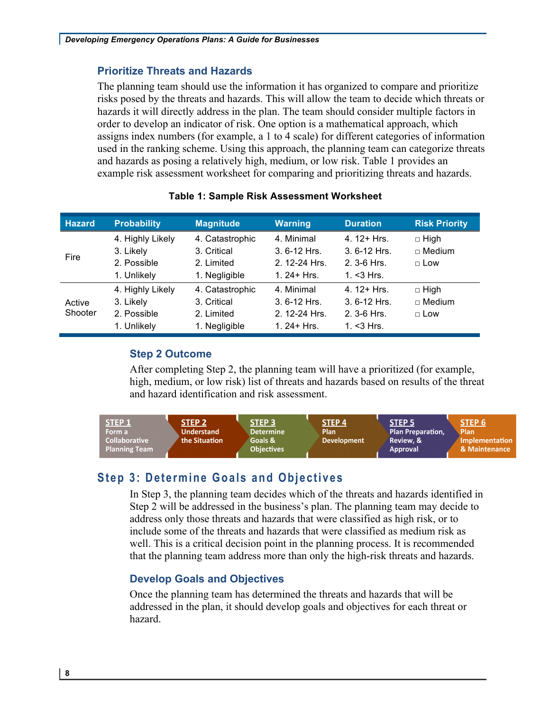#### **Prioritize Threats and Hazards**

 risks posed by the threats and hazards. This will allow the team to decide which threats or hazards it will directly address in the plan. The team should consider multiple factors in order to develop an indicator of risk. One option is a mathematical approach, which assigns index numbers (for example, a 1 to 4 scale) for different categories of information and hazards as posing a relatively high, medium, or low risk. Table 1 provides an The planning team should use the information it has organized to compare and prioritize used in the ranking scheme. Using this approach, the planning team can categorize threats example risk assessment worksheet for comparing and prioritizing threats and hazards.

| <b>Hazard</b> | <b>Probability</b> | <b>Magnitude</b> | <b>Warning</b>  | <b>Duration</b> | <b>Risk Priority</b> |
|---------------|--------------------|------------------|-----------------|-----------------|----------------------|
|               | 4. Highly Likely   | 4. Catastrophic  | 4. Minimal      | 4. $12 + Hrs$   | $\Box$ High          |
| Fire          | 3. Likely          | 3. Critical      | $3.6 - 12$ Hrs. | $3.6 - 12$ Hrs. | $\sqcap$ Medium      |
|               | 2. Possible        | 2. Limited       | 2.12-24 Hrs.    | 2. 3-6 Hrs.     | $\Box$ Low           |
|               | 1. Unlikely        | 1. Negligible    | 1.24 + $Hrs$ .  | 1. $<$ 3 Hrs.   |                      |
|               | 4. Highly Likely   | 4. Catastrophic  | 4. Minimal      | 4. $12 + Hrs$   | $\Box$ High          |
| Active        | 3. Likely          | 3. Critical      | $3.6 - 12$ Hrs. | $3.6 - 12$ Hrs. | $\sqcap$ Medium      |
| Shooter       | 2. Possible        | 2. Limited       | 2.12-24 Hrs.    | $2.3 - 6$ Hrs.  | $\Box$ Low           |
|               | 1. Unlikely        | 1. Negligible    | 1.24 + $Hrs$ .  | 1. $<$ 3 Hrs.   |                      |

#### **Table 1: Sample Risk Assessment Worksheet**

#### **Step 2 Outcome**

After completing Step 2, the planning team will have a prioritized (for example, high, medium, or low risk) list of threats and hazards based on results of the threat and hazard identification and risk assessment.



# **Step 3: Determine Goals and Objectives**

 Step 2 will be addressed in the business's plan. The planning team may decide to In Step 3, the planning team decides which of the threats and hazards identified in address only those threats and hazards that were classified as high risk, or to include some of the threats and hazards that were classified as medium risk as well. This is a critical decision point in the planning process. It is recommended that the planning team address more than only the high-risk threats and hazards.

#### **Develop Goals and Objectives**

Once the planning team has determined the threats and hazards that will be addressed in the plan, it should develop goals and objectives for each threat or hazard.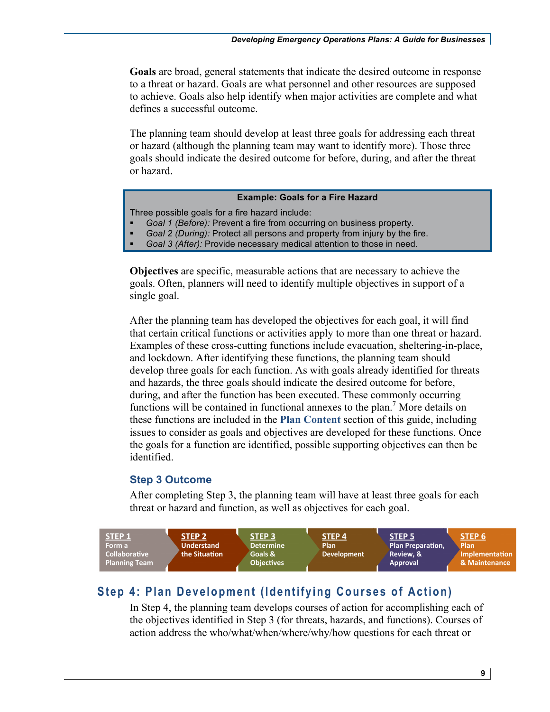to a threat or hazard. Goals are what personnel and other resources are supposed **Goals** are broad, general statements that indicate the desired outcome in response to achieve. Goals also help identify when major activities are complete and what defines a successful outcome.

 or hazard (although the planning team may want to identify more). Those three The planning team should develop at least three goals for addressing each threat goals should indicate the desired outcome for before, during, and after the threat or hazard.

#### **Example: Goals for a Fire Hazard**

Three possible goals for a fire hazard include:

- *Goal 1 (Before):* Prevent a fire from occurring on business property.
- *Goal 2 (During):* Protect all persons and property from injury by the fire.
- *Goal 3 (After):* Provide necessary medical attention to those in need.

**Objectives** are specific, measurable actions that are necessary to achieve the goals. Often, planners will need to identify multiple objectives in support of a single goal.

 these functions are included in the **Plan Content** section of this guide, including issues to consider as goals and objectives are developed for these functions. Once the goals for a function are identified, possible supporting objectives can then be After the planning team has developed the objectives for each goal, it will find that certain critical functions or activities apply to more than one threat or hazard. Examples of these cross-cutting functions include evacuation, sheltering-in-place, and lockdown. After identifying these functions, the planning team should develop three goals for each function. As with goals already identified for threats and hazards, the three goals should indicate the desired outcome for before, during, and after the function has been executed. These commonly occurring functions will be contained in functional annexes to the plan.<sup>7</sup> More details on identified.

#### **Step 3 Outcome**

After completing Step 3, the planning team will have at least three goals for each threat or hazard and function, as well as objectives for each goal.



# **Step 4: Plan Development (Identifying Courses of Action)**

 the objectives identified in Step 3 (for threats, hazards, and functions). Courses of action address the who/what/when/where/why/how questions for each threat or In Step 4, the planning team develops courses of action for accomplishing each of

**9**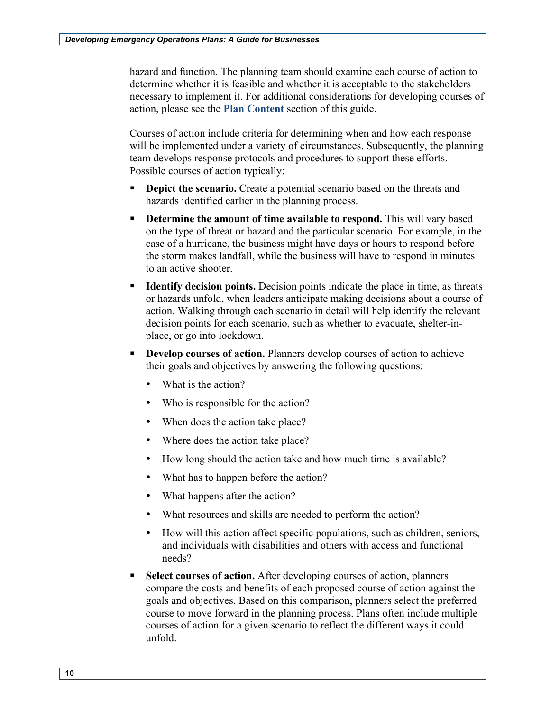necessary to implement it. For additional considerations for developing courses of action, please see the **Plan Content** section of this guide. hazard and function. The planning team should examine each course of action to determine whether it is feasible and whether it is acceptable to the stakeholders

 Courses of action include criteria for determining when and how each response Possible courses of action typically: will be implemented under a variety of circumstances. Subsequently, the planning team develops response protocols and procedures to support these efforts.

- **Depict the scenario.** Create a potential scenario based on the threats and hazards identified earlier in the planning process.
- on the type of threat or hazard and the particular scenario. For example, in the case of a hurricane, the business might have days or hours to respond before the storm makes landfall, while the business will have to respond in minutes **• Determine the amount of time available to respond.** This will vary based to an active shooter.
- action. Walking through each scenario in detail will help identify the relevant **Identify decision points.** Decision points indicate the place in time, as threats or hazards unfold, when leaders anticipate making decisions about a course of decision points for each scenario, such as whether to evacuate, shelter-inplace, or go into lockdown.
- their goals and objectives by answering the following questions: • **Develop courses of action.** Planners develop courses of action to achieve
	- What is the action?
	- Who is responsible for the action?
	- When does the action take place?
	- Where does the action take place?
	- How long should the action take and how much time is available?
	- What has to happen before the action?
	- What happens after the action?
	- What resources and skills are needed to perform the action?
	- How will this action affect specific populations, such as children, seniors, and individuals with disabilities and others with access and functional needs?
- course to move forward in the planning process. Plans often include multiple • **Select courses of action.** After developing courses of action, planners compare the costs and benefits of each proposed course of action against the goals and objectives. Based on this comparison, planners select the preferred courses of action for a given scenario to reflect the different ways it could unfold.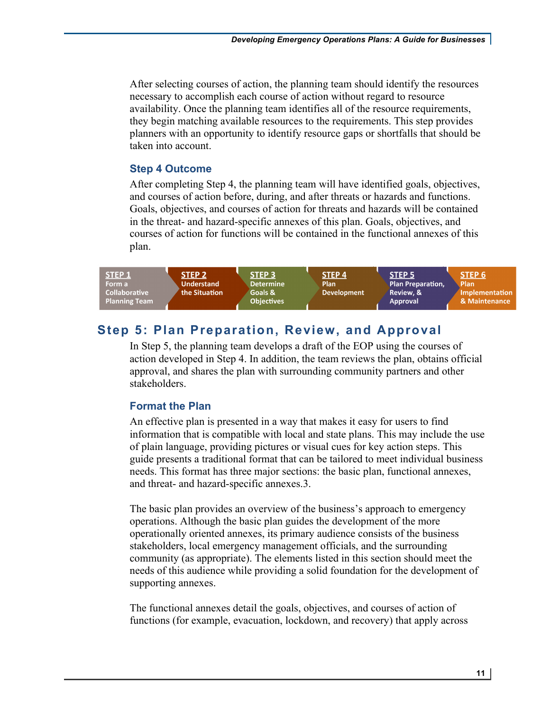necessary to accomplish each course of action without regard to resource they begin matching available resources to the requirements. This step provides After selecting courses of action, the planning team should identify the resources availability. Once the planning team identifies all of the resource requirements, planners with an opportunity to identify resource gaps or shortfalls that should be taken into account.

#### **Step 4 Outcome**

 and courses of action before, during, and after threats or hazards and functions. in the threat- and hazard-specific annexes of this plan. Goals, objectives, and After completing Step 4, the planning team will have identified goals, objectives, Goals, objectives, and courses of action for threats and hazards will be contained courses of action for functions will be contained in the functional annexes of this plan.



# **Step 5: Plan Preparation, Review, and Approval**

In Step 5, the planning team develops a draft of the EOP using the courses of action developed in Step 4. In addition, the team reviews the plan, obtains official approval, and shares the plan with surrounding community partners and other stakeholders.

# **Format the Plan**

 information that is compatible with local and state plans. This may include the use of plain language, providing pictures or visual cues for key action steps. This guide presents a traditional format that can be tailored to meet individual business needs. This format has three major sections: the basic plan, functional annexes, and threat- and hazard-specific annexes.3. An effective plan is presented in a way that makes it easy for users to find

 The basic plan provides an overview of the business's approach to emergency operations. Although the basic plan guides the development of the more operationally oriented annexes, its primary audience consists of the business stakeholders, local emergency management officials, and the surrounding community (as appropriate). The elements listed in this section should meet the needs of this audience while providing a solid foundation for the development of supporting annexes.

 The functional annexes detail the goals, objectives, and courses of action of functions (for example, evacuation, lockdown, and recovery) that apply across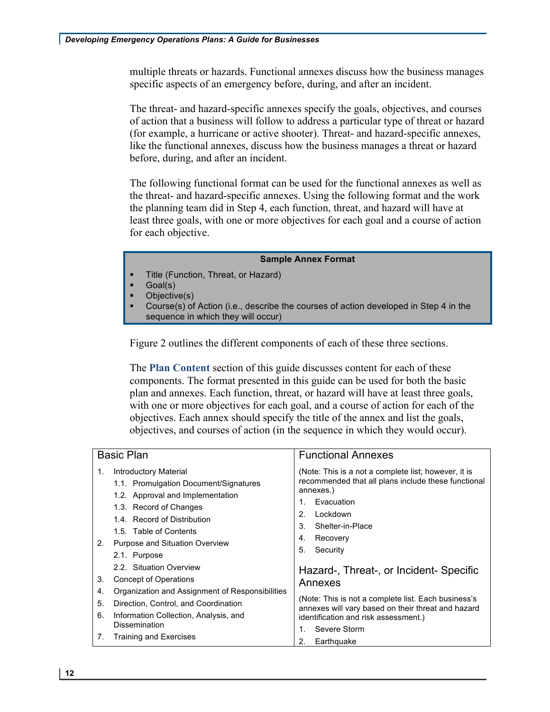multiple threats or hazards. Functional annexes discuss how the business manages specific aspects of an emergency before, during, and after an incident.

 The threat- and hazard-specific annexes specify the goals, objectives, and courses of action that a business will follow to address a particular type of threat or hazard (for example, a hurricane or active shooter). Threat- and hazard-specific annexes, like the functional annexes, discuss how the business manages a threat or hazard before, during, and after an incident.

 the threat- and hazard-specific annexes. Using the following format and the work The following functional format can be used for the functional annexes as well as the planning team did in Step 4, each function, threat, and hazard will have at least three goals, with one or more objectives for each goal and a course of action for each objective.

#### **Sample Annex Format**

- Title (Function, Threat, or Hazard)
- Goal(s)
- Objective(s)
- • Course(s) of Action (i.e., describe the courses of action developed in Step 4 in the sequence in which they will occur)

Figure 2 outlines the different components of each of these three sections.

 The **Plan Content** section of this guide discusses content for each of these objectives. Each annex should specify the title of the annex and list the goals, components. The format presented in this guide can be used for both the basic plan and annexes. Each function, threat, or hazard will have at least three goals, with one or more objectives for each goal, and a course of action for each of the objectives, and courses of action (in the sequence in which they would occur).

| <b>Introductory Material</b><br>(Note: This is a not a complete list; however, it is<br>1.<br>1.1. Promulgation Document/Signatures<br>annexes.)<br>1.2. Approval and Implementation<br>Evacuation<br>1.<br>1.3. Record of Changes<br>Lockdown<br>2.<br>1.4. Record of Distribution<br>Shelter-in-Place<br>3.<br>1.5. Table of Contents<br>Recovery<br>4.<br>Purpose and Situation Overview<br>2.<br>5.<br>Security<br>2.1. Purpose<br>2.2. Situation Overview<br><b>Concept of Operations</b><br>3.<br>Annexes<br>Organization and Assignment of Responsibilities<br>4.<br>5.<br>Direction, Control, and Coordination<br>6.<br>Information Collection, Analysis, and<br>identification and risk assessment.) | <b>Basic Plan</b>    | <b>Functional Annexes</b>                                                                                                                           |
|---------------------------------------------------------------------------------------------------------------------------------------------------------------------------------------------------------------------------------------------------------------------------------------------------------------------------------------------------------------------------------------------------------------------------------------------------------------------------------------------------------------------------------------------------------------------------------------------------------------------------------------------------------------------------------------------------------------|----------------------|-----------------------------------------------------------------------------------------------------------------------------------------------------|
|                                                                                                                                                                                                                                                                                                                                                                                                                                                                                                                                                                                                                                                                                                               |                      | recommended that all plans include these functional                                                                                                 |
| Severe Storm<br>1.<br>Training and Exercises<br>7.<br>Earthquake<br>2.                                                                                                                                                                                                                                                                                                                                                                                                                                                                                                                                                                                                                                        | <b>Dissemination</b> | Hazard-, Threat-, or Incident-Specific<br>(Note: This is not a complete list. Each business's<br>annexes will vary based on their threat and hazard |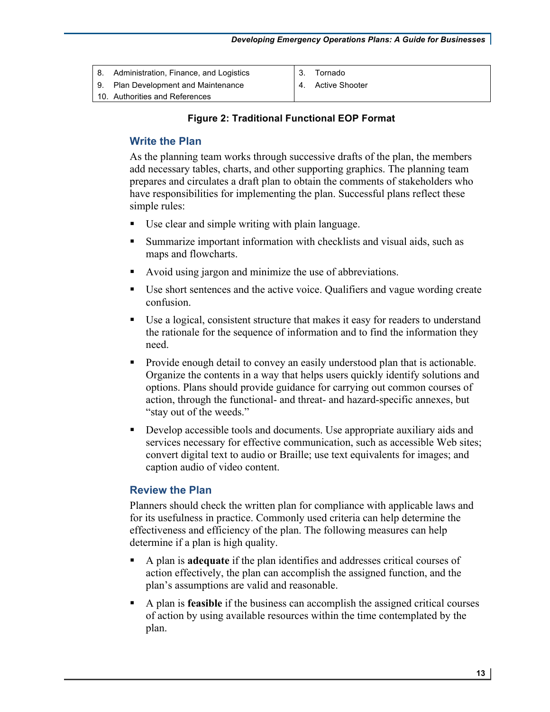| 8. Administration, Finance, and Logistics | Tornado           |
|-------------------------------------------|-------------------|
| 9. Plan Development and Maintenance       | 4. Active Shooter |
| 10. Authorities and References            |                   |

#### **Figure 2: Traditional Functional EOP Format**

#### **Write the Plan**

 add necessary tables, charts, and other supporting graphics. The planning team have responsibilities for implementing the plan. Successful plans reflect these As the planning team works through successive drafts of the plan, the members prepares and circulates a draft plan to obtain the comments of stakeholders who simple rules:

- Use clear and simple writing with plain language.
- Summarize important information with checklists and visual aids, such as maps and flowcharts.
- Avoid using jargon and minimize the use of abbreviations.
- • Use short sentences and the active voice. Qualifiers and vague wording create confusion.
- Use a logical, consistent structure that makes it easy for readers to understand the rationale for the sequence of information and to find the information they need.
- action, through the functional- and threat- and hazard-specific annexes, but • Provide enough detail to convey an easily understood plan that is actionable. Organize the contents in a way that helps users quickly identify solutions and options. Plans should provide guidance for carrying out common courses of "stay out of the weeds."
- services necessary for effective communication, such as accessible Web sites; • Develop accessible tools and documents. Use appropriate auxiliary aids and convert digital text to audio or Braille; use text equivalents for images; and caption audio of video content.

#### **Review the Plan**

Planners should check the written plan for compliance with applicable laws and for its usefulness in practice. Commonly used criteria can help determine the effectiveness and efficiency of the plan. The following measures can help determine if a plan is high quality.

- • A plan is **adequate** if the plan identifies and addresses critical courses of action effectively, the plan can accomplish the assigned function, and the plan's assumptions are valid and reasonable.
- • A plan is **feasible** if the business can accomplish the assigned critical courses of action by using available resources within the time contemplated by the plan.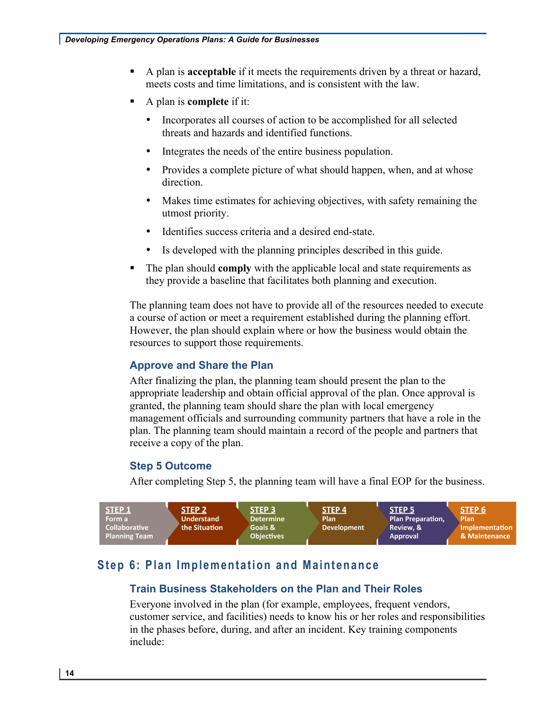- • A plan is **acceptable** if it meets the requirements driven by a threat or hazard, meets costs and time limitations, and is consistent with the law.
- • A plan is **complete** if it:
	- Incorporates all courses of action to be accomplished for all selected threats and hazards and identified functions.
	- Integrates the needs of the entire business population.
	- Provides a complete picture of what should happen, when, and at whose direction.
	- Makes time estimates for achieving objectives, with safety remaining the utmost priority.
	- Identifies success criteria and a desired end-state.
	- Is developed with the planning principles described in this guide.
- • The plan should **comply** with the applicable local and state requirements as they provide a baseline that facilitates both planning and execution.

 However, the plan should explain where or how the business would obtain the The planning team does not have to provide all of the resources needed to execute a course of action or meet a requirement established during the planning effort. resources to support those requirements.

# **Approve and Share the Plan**

 appropriate leadership and obtain official approval of the plan. Once approval is management officials and surrounding community partners that have a role in the plan. The planning team should maintain a record of the people and partners that After finalizing the plan, the planning team should present the plan to the granted, the planning team should share the plan with local emergency receive a copy of the plan.

# **Step 5 Outcome**

After completing Step 5, the planning team will have a final EOP for the business.



# **Step 6: Plan Implementation and Maintenance**

# **Train Business Stakeholders on the Plan and Their Roles**

 Everyone involved in the plan (for example, employees, frequent vendors, customer service, and facilities) needs to know his or her roles and responsibilities in the phases before, during, and after an incident. Key training components include: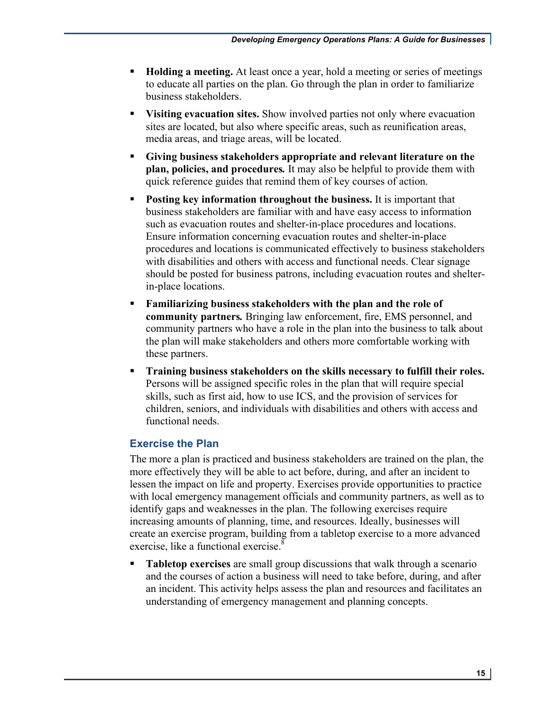- • **Holding a meeting.** At least once a year, hold a meeting or series of meetings business stakeholders. to educate all parties on the plan. Go through the plan in order to familiarize
- • **Visiting evacuation sites.** Show involved parties not only where evacuation media areas, and triage areas, will be located. sites are located, but also where specific areas, such as reunification areas,
- **plan, policies, and procedures***.* It may also be helpful to provide them with • **Giving business stakeholders appropriate and relevant literature on the**  quick reference guides that remind them of key courses of action.
- **Posting key information throughout the business.** It is important that procedures and locations is communicated effectively to business stakeholders with disabilities and others with access and functional needs. Clear signage business stakeholders are familiar with and have easy access to information such as evacuation routes and shelter-in-place procedures and locations. Ensure information concerning evacuation routes and shelter-in-place should be posted for business patrons, including evacuation routes and shelterin-place locations.
- community partners who have a role in the plan into the business to talk about these partners. • **Familiarizing business stakeholders with the plan and the role of community partners***.* Bringing law enforcement, fire, EMS personnel, and the plan will make stakeholders and others more comfortable working with
- **Training business stakeholders on the skills necessary to fulfill their roles.**  Persons will be assigned specific roles in the plan that will require special skills, such as first aid, how to use ICS, and the provision of services for children, seniors, and individuals with disabilities and others with access and functional needs.

# **Exercise the Plan**

 The more a plan is practiced and business stakeholders are trained on the plan, the lessen the impact on life and property. Exercises provide opportunities to practice identify gaps and weaknesses in the plan. The following exercises require more effectively they will be able to act before, during, and after an incident to with local emergency management officials and community partners, as well as to increasing amounts of planning, time, and resources. Ideally, businesses will create an exercise program, building from a tabletop exercise to a more advanced exercise, like a functional exercise.<sup>8</sup>

 and the courses of action a business will need to take before, during, and after • **Tabletop exercises** are small group discussions that walk through a scenario an incident. This activity helps assess the plan and resources and facilitates an understanding of emergency management and planning concepts.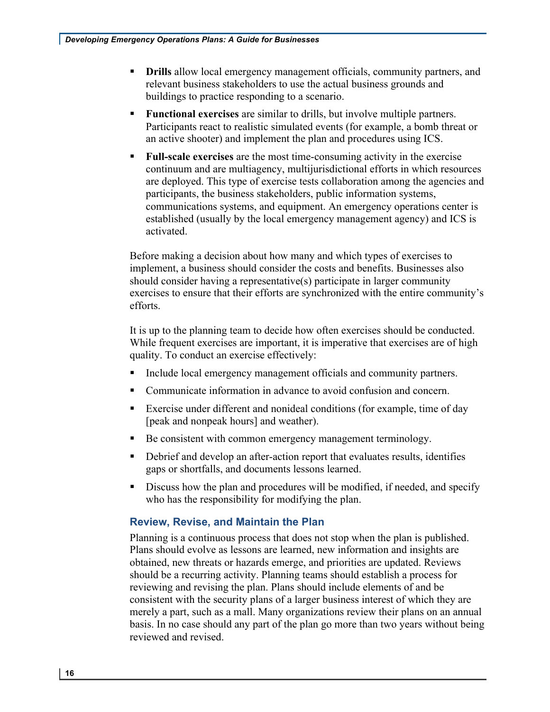- relevant business stakeholders to use the actual business grounds and • **Drills** allow local emergency management officials, community partners, and buildings to practice responding to a scenario.
- **Functional exercises** are similar to drills, but involve multiple partners. Participants react to realistic simulated events (for example, a bomb threat or an active shooter) and implement the plan and procedures using ICS.
- continuum and are multiagency, multijurisdictional efforts in which resources participants, the business stakeholders, public information systems, communications systems, and equipment. An emergency operations center is • **Full-scale exercises** are the most time-consuming activity in the exercise are deployed. This type of exercise tests collaboration among the agencies and established (usually by the local emergency management agency) and ICS is activated.

 implement, a business should consider the costs and benefits. Businesses also exercises to ensure that their efforts are synchronized with the entire community's Before making a decision about how many and which types of exercises to should consider having a representative(s) participate in larger community efforts.

 While frequent exercises are important, it is imperative that exercises are of high quality. To conduct an exercise effectively: It is up to the planning team to decide how often exercises should be conducted.

- Include local emergency management officials and community partners.
- Communicate information in advance to avoid confusion and concern.
- [peak and nonpeak hours] and weather). • Exercise under different and nonideal conditions (for example, time of day
- Be consistent with common emergency management terminology.
- • Debrief and develop an after-action report that evaluates results, identifies gaps or shortfalls, and documents lessons learned.
- Discuss how the plan and procedures will be modified, if needed, and specify who has the responsibility for modifying the plan.

# **Review, Revise, and Maintain the Plan**

 Plans should evolve as lessons are learned, new information and insights are obtained, new threats or hazards emerge, and priorities are updated. Reviews reviewing and revising the plan. Plans should include elements of and be consistent with the security plans of a larger business interest of which they are basis. In no case should any part of the plan go more than two years without being Planning is a continuous process that does not stop when the plan is published. should be a recurring activity. Planning teams should establish a process for merely a part, such as a mall. Many organizations review their plans on an annual reviewed and revised.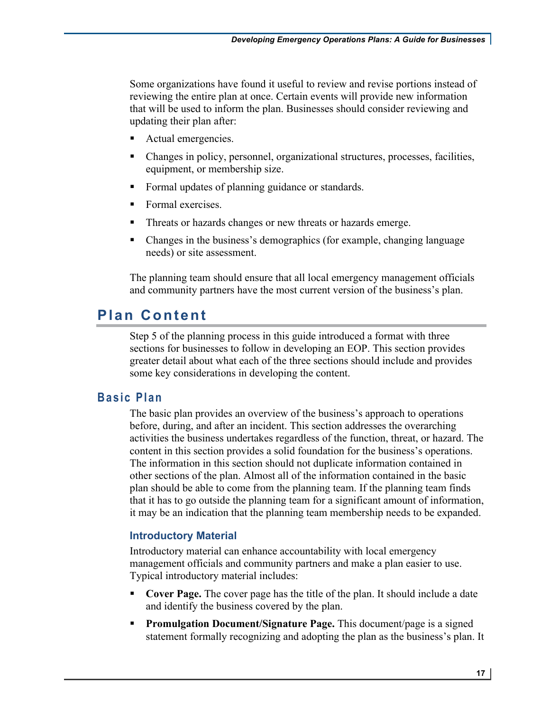that will be used to inform the plan. Businesses should consider reviewing and Some organizations have found it useful to review and revise portions instead of reviewing the entire plan at once. Certain events will provide new information updating their plan after:

- Actual emergencies.
- Changes in policy, personnel, organizational structures, processes, facilities, equipment, or membership size.
- Formal updates of planning guidance or standards.
- Formal exercises.
- Threats or hazards changes or new threats or hazards emerge.
- • Changes in the business's demographics (for example, changing language needs) or site assessment.

 and community partners have the most current version of the business's plan. The planning team should ensure that all local emergency management officials

# **Plan Content**

 sections for businesses to follow in developing an EOP. This section provides Step 5 of the planning process in this guide introduced a format with three greater detail about what each of the three sections should include and provides some key considerations in developing the content.

# **Basic Plan**

 The basic plan provides an overview of the business's approach to operations activities the business undertakes regardless of the function, threat, or hazard. The content in this section provides a solid foundation for the business's operations. plan should be able to come from the planning team. If the planning team finds before, during, and after an incident. This section addresses the overarching The information in this section should not duplicate information contained in other sections of the plan. Almost all of the information contained in the basic that it has to go outside the planning team for a significant amount of information, it may be an indication that the planning team membership needs to be expanded.

#### **Introductory Material**

Introductory material can enhance accountability with local emergency management officials and community partners and make a plan easier to use. Typical introductory material includes:

- • **Cover Page.** The cover page has the title of the plan. It should include a date and identify the business covered by the plan.
- statement formally recognizing and adopting the plan as the business's plan. It **• Promulgation Document/Signature Page.** This document/page is a signed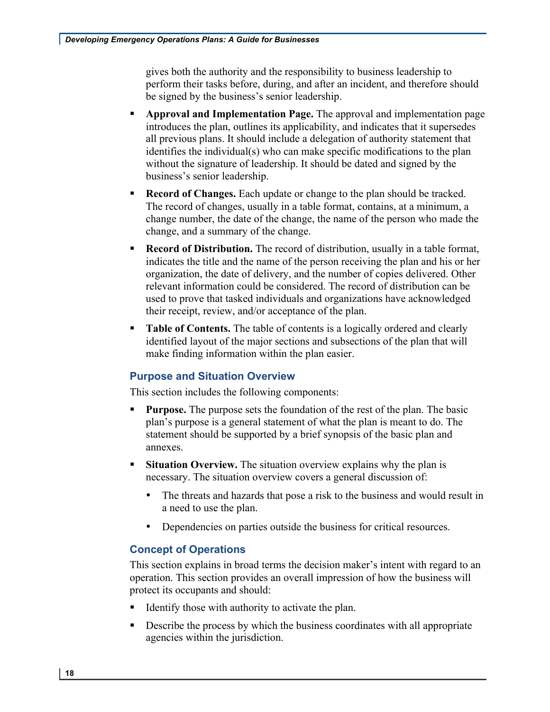be signed by the business's senior leadership. gives both the authority and the responsibility to business leadership to perform their tasks before, during, and after an incident, and therefore should

- • **Approval and Implementation Page.** The approval and implementation page without the signature of leadership. It should be dated and signed by the business's senior leadership. introduces the plan, outlines its applicability, and indicates that it supersedes all previous plans. It should include a delegation of authority statement that identifies the individual(s) who can make specific modifications to the plan
- The record of changes, usually in a table format, contains, at a minimum, a • **Record of Changes.** Each update or change to the plan should be tracked. change number, the date of the change, the name of the person who made the change, and a summary of the change.
- relevant information could be considered. The record of distribution can be • **Record of Distribution.** The record of distribution, usually in a table format, indicates the title and the name of the person receiving the plan and his or her organization, the date of delivery, and the number of copies delivered. Other used to prove that tasked individuals and organizations have acknowledged their receipt, review, and/or acceptance of the plan.
- **Table of Contents.** The table of contents is a logically ordered and clearly identified layout of the major sections and subsections of the plan that will make finding information within the plan easier.

# **Purpose and Situation Overview**

This section includes the following components:

- **Purpose.** The purpose sets the foundation of the rest of the plan. The basic plan's purpose is a general statement of what the plan is meant to do. The statement should be supported by a brief synopsis of the basic plan and annexes.
- **Situation Overview.** The situation overview explains why the plan is necessary. The situation overview covers a general discussion of:
	- • The threats and hazards that pose a risk to the business and would result in a need to use the plan.
	- Dependencies on parties outside the business for critical resources.

#### **Concept of Operations**

 operation. This section provides an overall impression of how the business will This section explains in broad terms the decision maker's intent with regard to an protect its occupants and should:

- Identify those with authority to activate the plan.
- Describe the process by which the business coordinates with all appropriate agencies within the jurisdiction.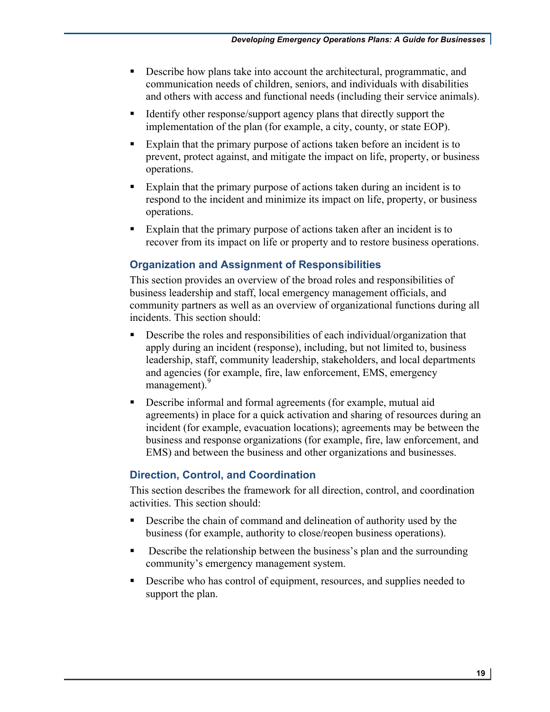- Describe how plans take into account the architectural, programmatic, and communication needs of children, seniors, and individuals with disabilities and others with access and functional needs (including their service animals).
- implementation of the plan (for example, a city, county, or state EOP). • Identify other response/support agency plans that directly support the
- prevent, protect against, and mitigate the impact on life, property, or business • Explain that the primary purpose of actions taken before an incident is to operations.
- respond to the incident and minimize its impact on life, property, or business • Explain that the primary purpose of actions taken during an incident is to operations.
- recover from its impact on life or property and to restore business operations. • Explain that the primary purpose of actions taken after an incident is to

# **Organization and Assignment of Responsibilities**

 community partners as well as an overview of organizational functions during all incidents. This section should: This section provides an overview of the broad roles and responsibilities of business leadership and staff, local emergency management officials, and

- Describe the roles and responsibilities of each individual/organization that apply during an incident (response), including, but not limited to, business leadership, staff, community leadership, stakeholders, and local departments and agencies (for example, fire, law enforcement, EMS, emergency management).<sup>9</sup>
- incident (for example, evacuation locations); agreements may be between the EMS) and between the business and other organizations and businesses. • Describe informal and formal agreements (for example, mutual aid agreements) in place for a quick activation and sharing of resources during an business and response organizations (for example, fire, law enforcement, and

# **Direction, Control, and Coordination**

 activities. This section should: This section describes the framework for all direction, control, and coordination

- business (for example, authority to close/reopen business operations). • Describe the chain of command and delineation of authority used by the
- Describe the relationship between the business's plan and the surrounding community's emergency management system.
- Describe who has control of equipment, resources, and supplies needed to support the plan.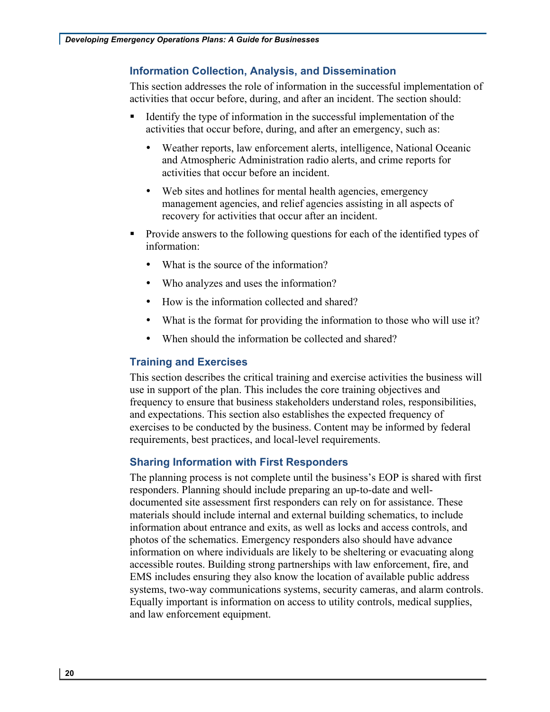#### **Information Collection, Analysis, and Dissemination**

 activities that occur before, during, and after an incident. The section should: This section addresses the role of information in the successful implementation of

- Identify the type of information in the successful implementation of the activities that occur before, during, and after an emergency, such as:
	- Weather reports, law enforcement alerts, intelligence, National Oceanic and Atmospheric Administration radio alerts, and crime reports for activities that occur before an incident.
	- recovery for activities that occur after an incident. • Web sites and hotlines for mental health agencies, emergency management agencies, and relief agencies assisting in all aspects of
- Provide answers to the following questions for each of the identified types of information:
	- What is the source of the information?
	- Who analyzes and uses the information?
	- How is the information collected and shared?
	- What is the format for providing the information to those who will use it?
	- When should the information be collected and shared?

# **Training and Exercises**

 This section describes the critical training and exercise activities the business will frequency to ensure that business stakeholders understand roles, responsibilities, exercises to be conducted by the business. Content may be informed by federal requirements, best practices, and local-level requirements. use in support of the plan. This includes the core training objectives and and expectations. This section also establishes the expected frequency of

# **Sharing Information with First Responders**

 The planning process is not complete until the business's EOP is shared with first documented site assessment first responders can rely on for assistance. These materials should include internal and external building schematics, to include photos of the schematics. Emergency responders also should have advance responders. Planning should include preparing an up-to-date and wellinformation about entrance and exits, as well as locks and access controls, and information on where individuals are likely to be sheltering or evacuating along accessible routes. Building strong partnerships with law enforcement, fire, and EMS includes ensuring they also know the location of available public address systems, two-way communications systems, security cameras, and alarm controls. Equally important is information on access to utility controls, medical supplies, and law enforcement equipment.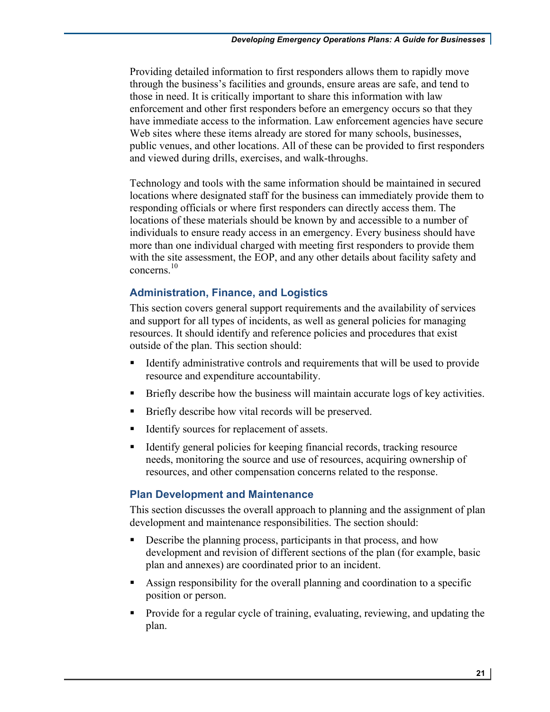through the business's facilities and grounds, ensure areas are safe, and tend to Providing detailed information to first responders allows them to rapidly move those in need. It is critically important to share this information with law enforcement and other first responders before an emergency occurs so that they have immediate access to the information. Law enforcement agencies have secure Web sites where these items already are stored for many schools, businesses, public venues, and other locations. All of these can be provided to first responders and viewed during drills, exercises, and walk-throughs.

 locations where designated staff for the business can immediately provide them to individuals to ensure ready access in an emergency. Every business should have Technology and tools with the same information should be maintained in secured responding officials or where first responders can directly access them. The locations of these materials should be known by and accessible to a number of more than one individual charged with meeting first responders to provide them with the site assessment, the EOP, and any other details about facility safety and concerns $10$ 

## **Administration, Finance, and Logistics**

 outside of the plan. This section should: This section covers general support requirements and the availability of services and support for all types of incidents, as well as general policies for managing resources. It should identify and reference policies and procedures that exist

- Identify administrative controls and requirements that will be used to provide resource and expenditure accountability.
- Briefly describe how the business will maintain accurate logs of key activities.
- Briefly describe how vital records will be preserved.
- Identify sources for replacement of assets.
- • Identify general policies for keeping financial records, tracking resource needs, monitoring the source and use of resources, acquiring ownership of resources, and other compensation concerns related to the response.

#### **Plan Development and Maintenance**

 development and maintenance responsibilities. The section should: This section discusses the overall approach to planning and the assignment of plan

- plan and annexes) are coordinated prior to an incident. • Describe the planning process, participants in that process, and how development and revision of different sections of the plan (for example, basic
- Assign responsibility for the overall planning and coordination to a specific position or person.
- Provide for a regular cycle of training, evaluating, reviewing, and updating the plan.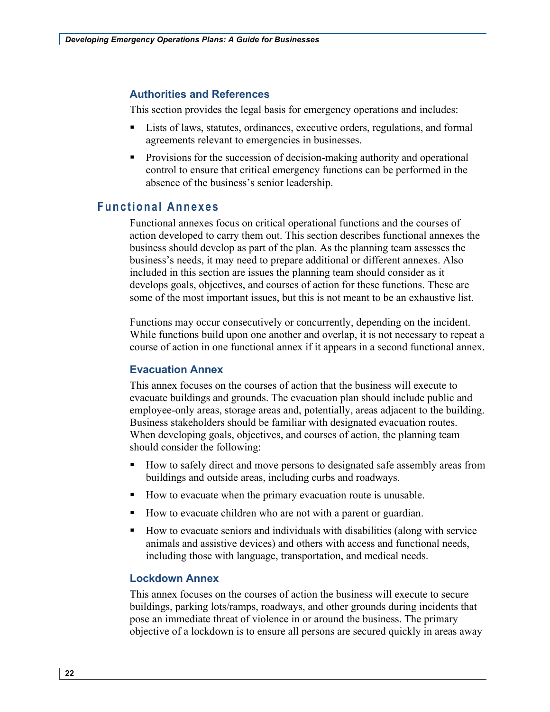#### **Authorities and References**

This section provides the legal basis for emergency operations and includes:

- Lists of laws, statutes, ordinances, executive orders, regulations, and formal agreements relevant to emergencies in businesses.
- control to ensure that critical emergency functions can be performed in the absence of the business's senior leadership. • Provisions for the succession of decision-making authority and operational

# **Functional Annexes**

 action developed to carry them out. This section describes functional annexes the business should develop as part of the plan. As the planning team assesses the develops goals, objectives, and courses of action for these functions. These are Functional annexes focus on critical operational functions and the courses of business's needs, it may need to prepare additional or different annexes. Also included in this section are issues the planning team should consider as it some of the most important issues, but this is not meant to be an exhaustive list.

 course of action in one functional annex if it appears in a second functional annex. Functions may occur consecutively or concurrently, depending on the incident. While functions build upon one another and overlap, it is not necessary to repeat a

#### **Evacuation Annex**

 This annex focuses on the courses of action that the business will execute to evacuate buildings and grounds. The evacuation plan should include public and When developing goals, objectives, and courses of action, the planning team employee-only areas, storage areas and, potentially, areas adjacent to the building. Business stakeholders should be familiar with designated evacuation routes. should consider the following:

- How to safely direct and move persons to designated safe assembly areas from buildings and outside areas, including curbs and roadways.
- How to evacuate when the primary evacuation route is unusable.
- How to evacuate children who are not with a parent or guardian.
- How to evacuate seniors and individuals with disabilities (along with service animals and assistive devices) and others with access and functional needs, including those with language, transportation, and medical needs.

#### **Lockdown Annex**

 This annex focuses on the courses of action the business will execute to secure buildings, parking lots/ramps, roadways, and other grounds during incidents that pose an immediate threat of violence in or around the business. The primary objective of a lockdown is to ensure all persons are secured quickly in areas away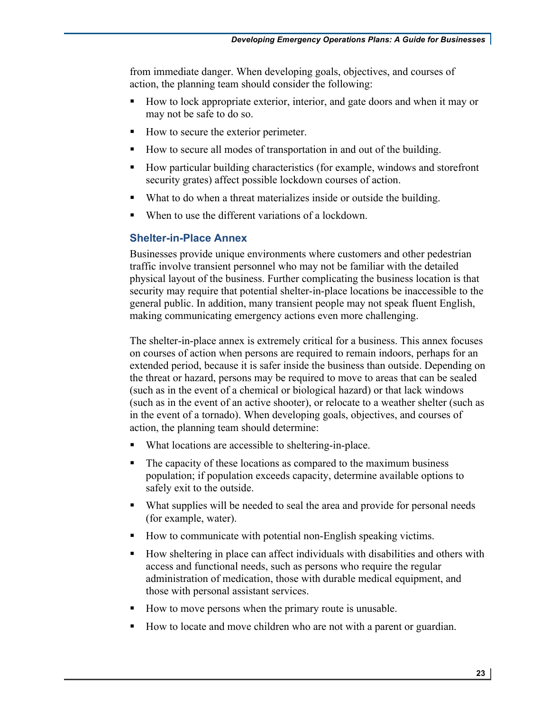from immediate danger. When developing goals, objectives, and courses of action, the planning team should consider the following:

- • How to lock appropriate exterior, interior, and gate doors and when it may or may not be safe to do so.
- How to secure the exterior perimeter.
- How to secure all modes of transportation in and out of the building.
- • How particular building characteristics (for example, windows and storefront security grates) affect possible lockdown courses of action.
- What to do when a threat materializes inside or outside the building.
- When to use the different variations of a lockdown.

# **Shelter-in-Place Annex**

 Businesses provide unique environments where customers and other pedestrian traffic involve transient personnel who may not be familiar with the detailed physical layout of the business. Further complicating the business location is that security may require that potential shelter-in-place locations be inaccessible to the general public. In addition, many transient people may not speak fluent English, making communicating emergency actions even more challenging.

 The shelter-in-place annex is extremely critical for a business. This annex focuses extended period, because it is safer inside the business than outside. Depending on the threat or hazard, persons may be required to move to areas that can be sealed (such as in the event of a chemical or biological hazard) or that lack windows (such as in the event of an active shooter), or relocate to a weather shelter (such as action, the planning team should determine: on courses of action when persons are required to remain indoors, perhaps for an in the event of a tornado). When developing goals, objectives, and courses of

- What locations are accessible to sheltering-in-place.
- The capacity of these locations as compared to the maximum business population; if population exceeds capacity, determine available options to safely exit to the outside.
- • What supplies will be needed to seal the area and provide for personal needs (for example, water).
- How to communicate with potential non-English speaking victims.
- How sheltering in place can affect individuals with disabilities and others with access and functional needs, such as persons who require the regular administration of medication, those with durable medical equipment, and those with personal assistant services.
- How to move persons when the primary route is unusable.
- How to locate and move children who are not with a parent or guardian.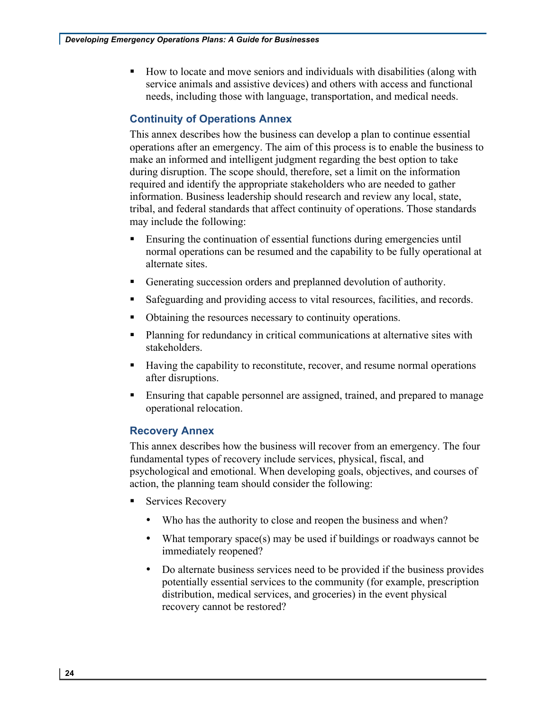• How to locate and move seniors and individuals with disabilities (along with service animals and assistive devices) and others with access and functional needs, including those with language, transportation, and medical needs.

# **Continuity of Operations Annex**

 This annex describes how the business can develop a plan to continue essential operations after an emergency. The aim of this process is to enable the business to make an informed and intelligent judgment regarding the best option to take during disruption. The scope should, therefore, set a limit on the information required and identify the appropriate stakeholders who are needed to gather tribal, and federal standards that affect continuity of operations. Those standards information. Business leadership should research and review any local, state, may include the following:

- Ensuring the continuation of essential functions during emergencies until normal operations can be resumed and the capability to be fully operational at alternate sites.
- Generating succession orders and preplanned devolution of authority.
- Safeguarding and providing access to vital resources, facilities, and records.
- Obtaining the resources necessary to continuity operations.
- Planning for redundancy in critical communications at alternative sites with stakeholders.
- Having the capability to reconstitute, recover, and resume normal operations after disruptions.
- • Ensuring that capable personnel are assigned, trained, and prepared to manage operational relocation.

#### **Recovery Annex**

 This annex describes how the business will recover from an emergency. The four fundamental types of recovery include services, physical, fiscal, and psychological and emotional. When developing goals, objectives, and courses of action, the planning team should consider the following:

- Services Recovery
	- Who has the authority to close and reopen the business and when?
	- • What temporary space(s) may be used if buildings or roadways cannot be immediately reopened?
	- • Do alternate business services need to be provided if the business provides potentially essential services to the community (for example, prescription distribution, medical services, and groceries) in the event physical recovery cannot be restored?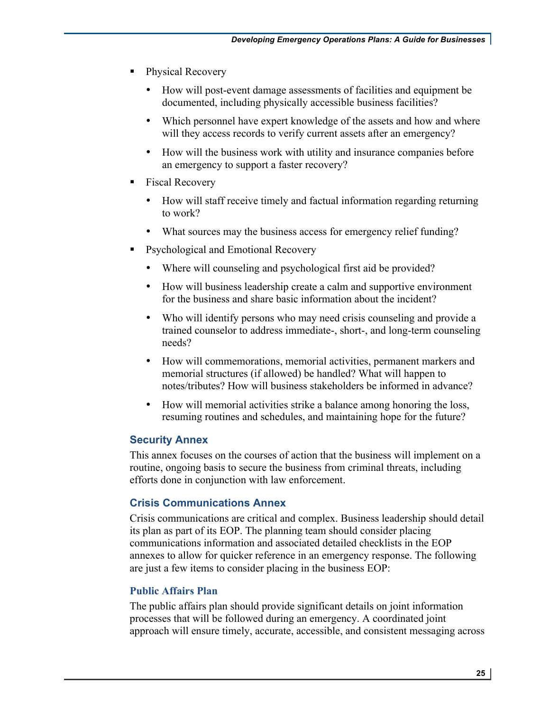- Physical Recovery
	- • How will post-event damage assessments of facilities and equipment be documented, including physically accessible business facilities?
	- Which personnel have expert knowledge of the assets and how and where will they access records to verify current assets after an emergency?
	- • How will the business work with utility and insurance companies before an emergency to support a faster recovery?
- Fiscal Recovery
	- • How will staff receive timely and factual information regarding returning to work?
	- What sources may the business access for emergency relief funding?
- • Psychological and Emotional Recovery
	- Where will counseling and psychological first aid be provided?
	- • How will business leadership create a calm and supportive environment for the business and share basic information about the incident?
	- Who will identify persons who may need crisis counseling and provide a trained counselor to address immediate-, short-, and long-term counseling needs?
	- • How will commemorations, memorial activities, permanent markers and memorial structures (if allowed) be handled? What will happen to notes/tributes? How will business stakeholders be informed in advance?
	- • How will memorial activities strike a balance among honoring the loss, resuming routines and schedules, and maintaining hope for the future?

#### **Security Annex**

 This annex focuses on the courses of action that the business will implement on a routine, ongoing basis to secure the business from criminal threats, including efforts done in conjunction with law enforcement.

#### **Crisis Communications Annex**

 Crisis communications are critical and complex. Business leadership should detail its plan as part of its EOP. The planning team should consider placing are just a few items to consider placing in the business EOP: communications information and associated detailed checklists in the EOP annexes to allow for quicker reference in an emergency response. The following

#### **Public Affairs Plan**

 The public affairs plan should provide significant details on joint information processes that will be followed during an emergency. A coordinated joint approach will ensure timely, accurate, accessible, and consistent messaging across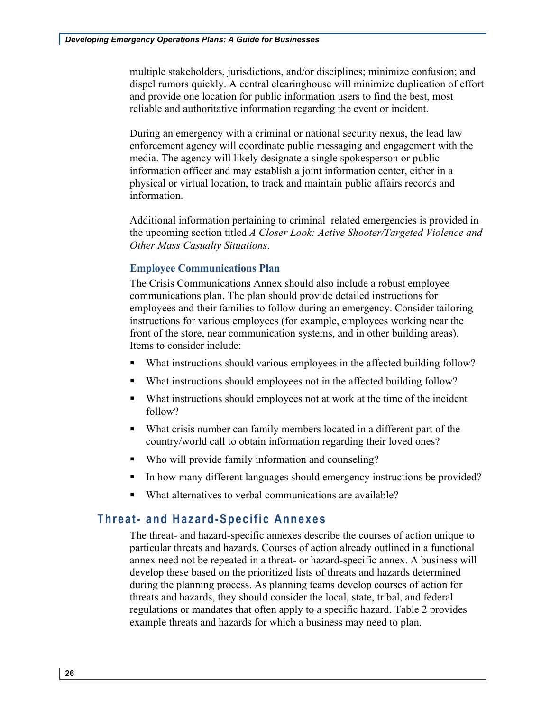multiple stakeholders, jurisdictions, and/or disciplines; minimize confusion; and dispel rumors quickly. A central clearinghouse will minimize duplication of effort and provide one location for public information users to find the best, most reliable and authoritative information regarding the event or incident.

 media. The agency will likely designate a single spokesperson or public physical or virtual location, to track and maintain public affairs records and During an emergency with a criminal or national security nexus, the lead law enforcement agency will coordinate public messaging and engagement with the information officer and may establish a joint information center, either in a information.

Additional information pertaining to criminal–related emergencies is provided in the upcoming section titled *A Closer Look: Active Shooter/Targeted Violence and Other Mass Casualty Situations*.

#### **Employee Communications Plan**

 The Crisis Communications Annex should also include a robust employee employees and their families to follow during an emergency. Consider tailoring Items to consider include: communications plan. The plan should provide detailed instructions for instructions for various employees (for example, employees working near the front of the store, near communication systems, and in other building areas).

- What instructions should various employees in the affected building follow?
- What instructions should employees not in the affected building follow?
- • What instructions should employees not at work at the time of the incident follow?
- country/world call to obtain information regarding their loved ones? • What crisis number can family members located in a different part of the
- Who will provide family information and counseling?
- In how many different languages should emergency instructions be provided?
- What alternatives to verbal communications are available?

# **Threat- and Hazard-Specific Annexes**

 annex need not be repeated in a threat- or hazard-specific annex. A business will threats and hazards, they should consider the local, state, tribal, and federal regulations or mandates that often apply to a specific hazard. Table 2 provides example threats and hazards for which a business may need to plan. The threat- and hazard-specific annexes describe the courses of action unique to particular threats and hazards. Courses of action already outlined in a functional develop these based on the prioritized lists of threats and hazards determined during the planning process. As planning teams develop courses of action for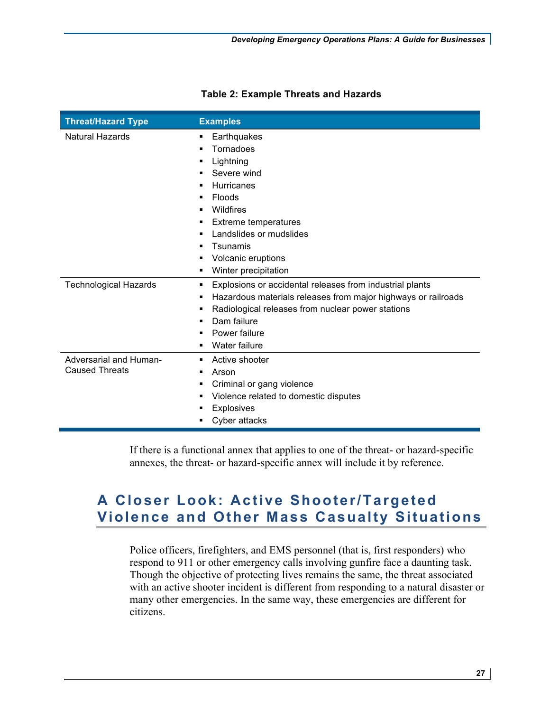| <b>Threat/Hazard Type</b>    | <b>Examples</b>                                               |
|------------------------------|---------------------------------------------------------------|
| <b>Natural Hazards</b>       | Earthquakes<br>٠                                              |
|                              | Tornadoes                                                     |
|                              | Lightning                                                     |
|                              | Severe wind                                                   |
|                              | <b>Hurricanes</b>                                             |
|                              | Floods                                                        |
|                              | Wildfires<br>٠                                                |
|                              | Extreme temperatures                                          |
|                              | Landslides or mudslides<br>٠                                  |
|                              | Tsunamis                                                      |
|                              | Volcanic eruptions                                            |
|                              | Winter precipitation                                          |
| <b>Technological Hazards</b> | Explosions or accidental releases from industrial plants<br>٠ |
|                              | Hazardous materials releases from major highways or railroads |
|                              | Radiological releases from nuclear power stations             |
|                              | Dam failure                                                   |
|                              | Power failure                                                 |
|                              | Water failure                                                 |
| Adversarial and Human-       | Active shooter<br>٠                                           |
| <b>Caused Threats</b>        | Arson                                                         |
|                              | Criminal or gang violence                                     |
|                              | Violence related to domestic disputes                         |
|                              | Explosives                                                    |
|                              | Cyber attacks                                                 |

## **Table 2: Example Threats and Hazards**

 If there is a functional annex that applies to one of the threat- or hazard-specific annexes, the threat- or hazard-specific annex will include it by reference.

# **Violence and Other Mass Casualty Situations A Closer Look: Active Shooter/Targeted**

 Police officers, firefighters, and EMS personnel (that is, first responders) who respond to 911 or other emergency calls involving gunfire face a daunting task. Though the objective of protecting lives remains the same, the threat associated with an active shooter incident is different from responding to a natural disaster or many other emergencies. In the same way, these emergencies are different for citizens.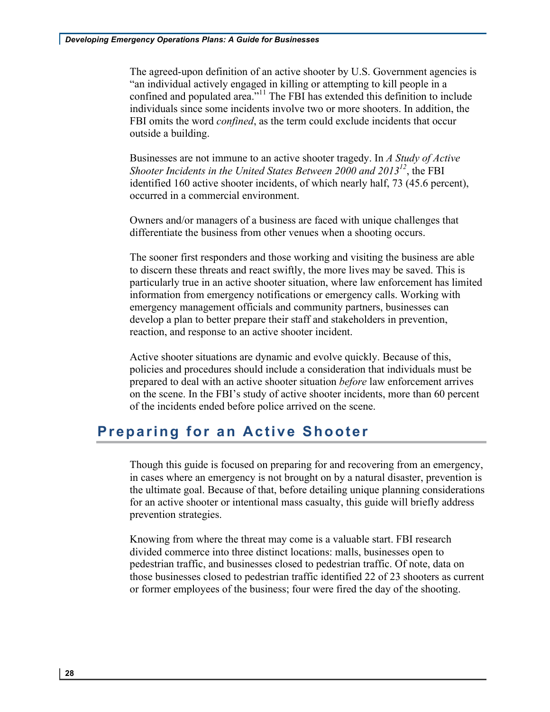The agreed-upon definition of an active shooter by U.S. Government agencies is "an individual actively engaged in killing or attempting to kill people in a confined and populated area." $11$ The FBI has extended this definition to include individuals since some incidents involve two or more shooters. In addition, the FBI omits the word *confined*, as the term could exclude incidents that occur outside a building.

 Businesses are not immune to an active shooter tragedy. In *A Study of Active*  identified 160 active shooter incidents, of which nearly half, 73 (45.6 percent), *Shooter Incidents in the United States Between 2000 and 2013<sup>12</sup>*, the FBI occurred in a commercial environment.

Owners and/or managers of a business are faced with unique challenges that differentiate the business from other venues when a shooting occurs.

 The sooner first responders and those working and visiting the business are able to discern these threats and react swiftly, the more lives may be saved. This is information from emergency notifications or emergency calls. Working with particularly true in an active shooter situation, where law enforcement has limited emergency management officials and community partners, businesses can develop a plan to better prepare their staff and stakeholders in prevention, reaction, and response to an active shooter incident.

 Active shooter situations are dynamic and evolve quickly. Because of this, policies and procedures should include a consideration that individuals must be prepared to deal with an active shooter situation *before* law enforcement arrives on the scene. In the FBI's study of active shooter incidents, more than 60 percent of the incidents ended before police arrived on the scene.

# **Preparing for an Active Shooter**

 the ultimate goal. Because of that, before detailing unique planning considerations for an active shooter or intentional mass casualty, this guide will briefly address prevention strategies. Though this guide is focused on preparing for and recovering from an emergency, in cases where an emergency is not brought on by a natural disaster, prevention is

 or former employees of the business; four were fired the day of the shooting. Knowing from where the threat may come is a valuable start. FBI research divided commerce into three distinct locations: malls, businesses open to pedestrian traffic, and businesses closed to pedestrian traffic. Of note, data on those businesses closed to pedestrian traffic identified 22 of 23 shooters as current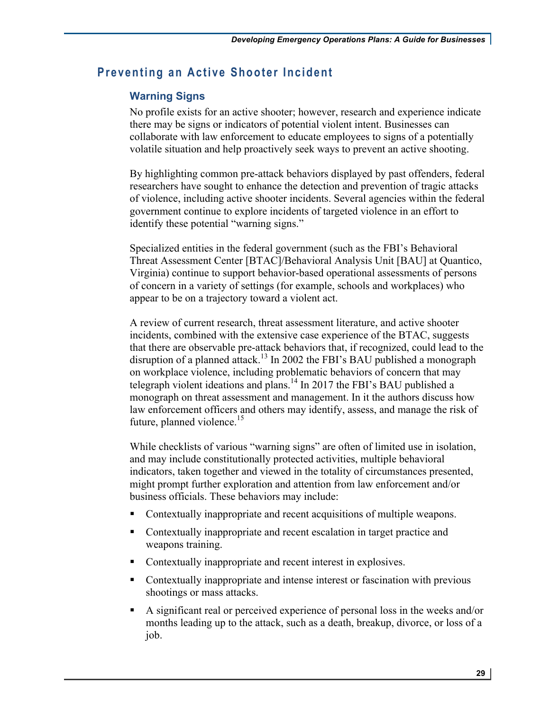# **Preventing an Active Shooter Incident**

# **Warning Signs**

 No profile exists for an active shooter; however, research and experience indicate there may be signs or indicators of potential violent intent. Businesses can collaborate with law enforcement to educate employees to signs of a potentially volatile situation and help proactively seek ways to prevent an active shooting.

 of violence, including active shooter incidents. Several agencies within the federal identify these potential "warning signs." By highlighting common pre-attack behaviors displayed by past offenders, federal researchers have sought to enhance the detection and prevention of tragic attacks government continue to explore incidents of targeted violence in an effort to

 Threat Assessment Center [BTAC]/Behavioral Analysis Unit [BAU] at Quantico, of concern in a variety of settings (for example, schools and workplaces) who appear to be on a trajectory toward a violent act. Specialized entities in the federal government (such as the FBI's Behavioral Virginia) continue to support behavior-based operational assessments of persons

disruption of a planned attack.<sup>13</sup> In 2002 the FBI's BAU published a monograph telegraph violent ideations and plans.<sup>14</sup> In 2017 the FBI's BAU published a monograph on threat assessment and management. In it the authors discuss how future, planned violence.<sup>15</sup> A review of current research, threat assessment literature, and active shooter incidents, combined with the extensive case experience of the BTAC, suggests that there are observable pre-attack behaviors that, if recognized, could lead to the on workplace violence, including problematic behaviors of concern that may law enforcement officers and others may identify, assess, and manage the risk of

 business officials. These behaviors may include: While checklists of various "warning signs" are often of limited use in isolation, and may include constitutionally protected activities, multiple behavioral indicators, taken together and viewed in the totality of circumstances presented, might prompt further exploration and attention from law enforcement and/or

- Contextually inappropriate and recent acquisitions of multiple weapons.
- Contextually inappropriate and recent escalation in target practice and weapons training.
- Contextually inappropriate and recent interest in explosives.
- Contextually inappropriate and intense interest or fascination with previous shootings or mass attacks.
- A significant real or perceived experience of personal loss in the weeks and/or months leading up to the attack, such as a death, breakup, divorce, or loss of a job.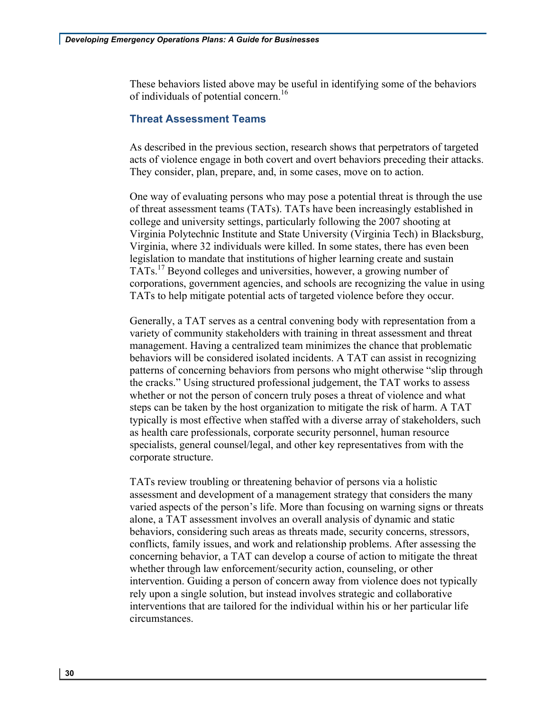These behaviors listed above may be useful in identifying some of the behaviors of individuals of potential concern.<sup>16</sup>

#### **Threat Assessment Teams**

As described in the previous section, research shows that perpetrators of targeted acts of violence engage in both covert and overt behaviors preceding their attacks. They consider, plan, prepare, and, in some cases, move on to action.

 Virginia Polytechnic Institute and State University (Virginia Tech) in Blacksburg, legislation to mandate that institutions of higher learning create and sustain One way of evaluating persons who may pose a potential threat is through the use of threat assessment teams (TATs). TATs have been increasingly established in college and university settings, particularly following the 2007 shooting at Virginia, where 32 individuals were killed. In some states, there has even been TATs.<sup>17</sup> Beyond colleges and universities, however, a growing number of corporations, government agencies, and schools are recognizing the value in using TATs to help mitigate potential acts of targeted violence before they occur.

 patterns of concerning behaviors from persons who might otherwise "slip through Generally, a TAT serves as a central convening body with representation from a variety of community stakeholders with training in threat assessment and threat management. Having a centralized team minimizes the chance that problematic behaviors will be considered isolated incidents. A TAT can assist in recognizing the cracks." Using structured professional judgement, the TAT works to assess whether or not the person of concern truly poses a threat of violence and what steps can be taken by the host organization to mitigate the risk of harm. A TAT typically is most effective when staffed with a diverse array of stakeholders, such as health care professionals, corporate security personnel, human resource specialists, general counsel/legal, and other key representatives from with the corporate structure.

 TATs review troubling or threatening behavior of persons via a holistic assessment and development of a management strategy that considers the many alone, a TAT assessment involves an overall analysis of dynamic and static behaviors, considering such areas as threats made, security concerns, stressors, varied aspects of the person's life. More than focusing on warning signs or threats conflicts, family issues, and work and relationship problems. After assessing the concerning behavior, a TAT can develop a course of action to mitigate the threat whether through law enforcement/security action, counseling, or other intervention. Guiding a person of concern away from violence does not typically rely upon a single solution, but instead involves strategic and collaborative interventions that are tailored for the individual within his or her particular life circumstances.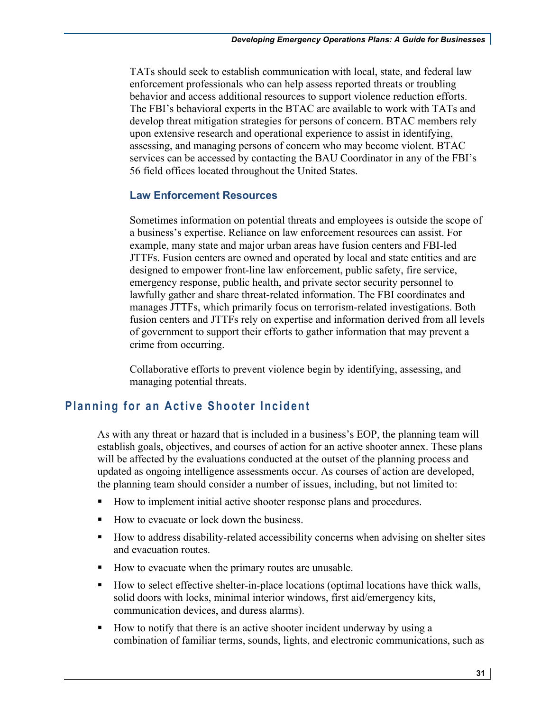enforcement professionals who can help assess reported threats or troubling The FBI's behavioral experts in the BTAC are available to work with TATs and TATs should seek to establish communication with local, state, and federal law behavior and access additional resources to support violence reduction efforts. develop threat mitigation strategies for persons of concern. BTAC members rely upon extensive research and operational experience to assist in identifying, assessing, and managing persons of concern who may become violent. BTAC services can be accessed by contacting the BAU Coordinator in any of the FBI's 56 field offices located throughout the United States.

#### **Law Enforcement Resources**

Sometimes information on potential threats and employees is outside the scope of a business's expertise. Reliance on law enforcement resources can assist. For example, many state and major urban areas have fusion centers and FBI-led JTTFs. Fusion centers are owned and operated by local and state entities and are designed to empower front-line law enforcement, public safety, fire service, emergency response, public health, and private sector security personnel to lawfully gather and share threat-related information. The FBI coordinates and manages JTTFs, which primarily focus on terrorism-related investigations. Both fusion centers and JTTFs rely on expertise and information derived from all levels of government to support their efforts to gather information that may prevent a crime from occurring.

Collaborative efforts to prevent violence begin by identifying, assessing, and managing potential threats.

# **Planning for an Active Shooter Incident**

 As with any threat or hazard that is included in a business's EOP, the planning team will establish goals, objectives, and courses of action for an active shooter annex. These plans will be affected by the evaluations conducted at the outset of the planning process and updated as ongoing intelligence assessments occur. As courses of action are developed, the planning team should consider a number of issues, including, but not limited to:

- How to implement initial active shooter response plans and procedures.
- How to evacuate or lock down the business.
- How to address disability-related accessibility concerns when advising on shelter sites and evacuation routes.
- How to evacuate when the primary routes are unusable.
- communication devices, and duress alarms). • How to select effective shelter-in-place locations (optimal locations have thick walls, solid doors with locks, minimal interior windows, first aid/emergency kits,
- • How to notify that there is an active shooter incident underway by using a combination of familiar terms, sounds, lights, and electronic communications, such as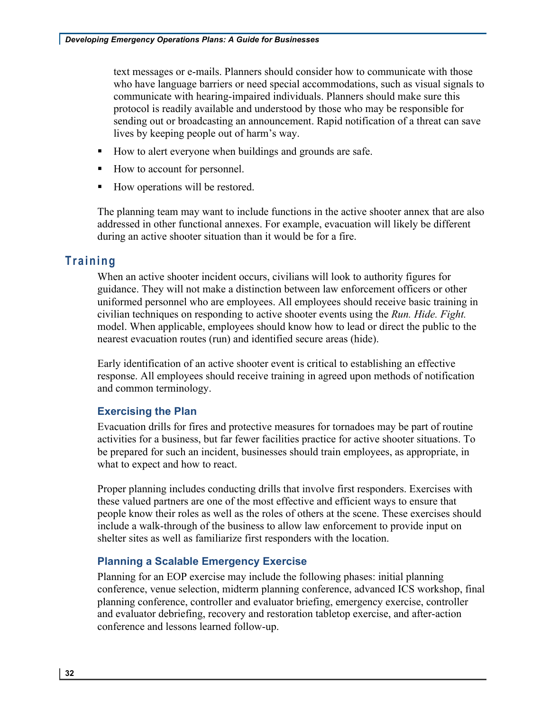text messages or e-mails. Planners should consider how to communicate with those communicate with hearing-impaired individuals. Planners should make sure this sending out or broadcasting an announcement. Rapid notification of a threat can save who have language barriers or need special accommodations, such as visual signals to protocol is readily available and understood by those who may be responsible for lives by keeping people out of harm's way.

- How to alert everyone when buildings and grounds are safe.
- How to account for personnel.
- How operations will be restored.

 addressed in other functional annexes. For example, evacuation will likely be different The planning team may want to include functions in the active shooter annex that are also during an active shooter situation than it would be for a fire.

# **Training**

 When an active shooter incident occurs, civilians will look to authority figures for guidance. They will not make a distinction between law enforcement officers or other uniformed personnel who are employees. All employees should receive basic training in civilian techniques on responding to active shooter events using the *Run. Hide. Fight.*  model. When applicable, employees should know how to lead or direct the public to the nearest evacuation routes (run) and identified secure areas (hide).

Early identification of an active shooter event is critical to establishing an effective response. All employees should receive training in agreed upon methods of notification and common terminology.

# **Exercising the Plan**

Evacuation drills for fires and protective measures for tornadoes may be part of routine activities for a business, but far fewer facilities practice for active shooter situations. To be prepared for such an incident, businesses should train employees, as appropriate, in what to expect and how to react.

 people know their roles as well as the roles of others at the scene. These exercises should include a walk-through of the business to allow law enforcement to provide input on Proper planning includes conducting drills that involve first responders. Exercises with these valued partners are one of the most effective and efficient ways to ensure that shelter sites as well as familiarize first responders with the location.

# **Planning a Scalable Emergency Exercise**

Planning for an EOP exercise may include the following phases: initial planning conference, venue selection, midterm planning conference, advanced ICS workshop, final planning conference, controller and evaluator briefing, emergency exercise, controller and evaluator debriefing, recovery and restoration tabletop exercise, and after-action conference and lessons learned follow-up.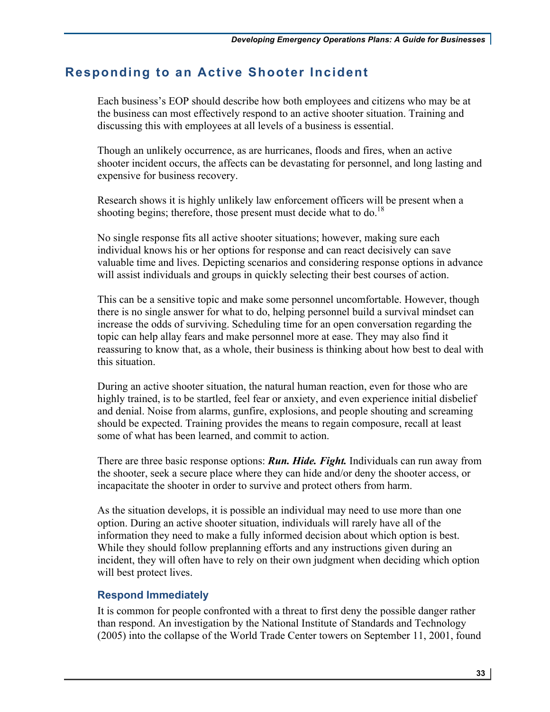# **Responding to an Active Shooter Incident**

 Each business's EOP should describe how both employees and citizens who may be at the business can most effectively respond to an active shooter situation. Training and discussing this with employees at all levels of a business is essential.

Though an unlikely occurrence, as are hurricanes, floods and fires, when an active shooter incident occurs, the affects can be devastating for personnel, and long lasting and expensive for business recovery.

 Research shows it is highly unlikely law enforcement officers will be present when a shooting begins; therefore, those present must decide what to do.<sup>18</sup>

 individual knows his or her options for response and can react decisively can save valuable time and lives. Depicting scenarios and considering response options in advance will assist individuals and groups in quickly selecting their best courses of action. No single response fits all active shooter situations; however, making sure each

 topic can help allay fears and make personnel more at ease. They may also find it reassuring to know that, as a whole, their business is thinking about how best to deal with This can be a sensitive topic and make some personnel uncomfortable. However, though there is no single answer for what to do, helping personnel build a survival mindset can increase the odds of surviving. Scheduling time for an open conversation regarding the this situation.

 highly trained, is to be startled, feel fear or anxiety, and even experience initial disbelief some of what has been learned, and commit to action. During an active shooter situation, the natural human reaction, even for those who are and denial. Noise from alarms, gunfire, explosions, and people shouting and screaming should be expected. Training provides the means to regain composure, recall at least

some of what has been learned, and commit to action.<br>There are three basic response options: *Run. Hide. Fight*. Individuals can run away from the shooter, seek a secure place where they can hide and/or deny the shooter access, or incapacitate the shooter in order to survive and protect others from harm.

 As the situation develops, it is possible an individual may need to use more than one While they should follow preplanning efforts and any instructions given during an option. During an active shooter situation, individuals will rarely have all of the information they need to make a fully informed decision about which option is best. incident, they will often have to rely on their own judgment when deciding which option will best protect lives.

#### **Respond Immediately**

It is common for people confronted with a threat to first deny the possible danger rather than respond. An investigation by the National Institute of Standards and Technology (2005) into the collapse of the World Trade Center towers on September 11, 2001, found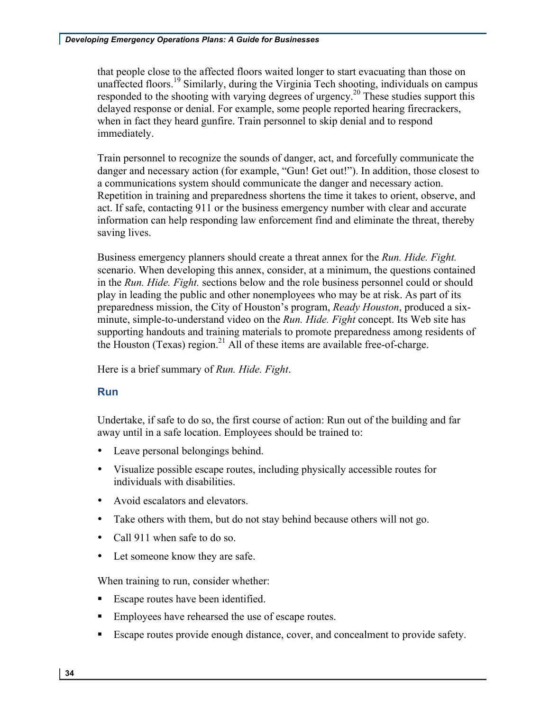responded to the shooting with varying degrees of urgency.<sup>20</sup> These studies support this delayed response or denial. For example, some people reported hearing firecrackers, when in fact they heard gunfire. Train personnel to skip denial and to respond that people close to the affected floors waited longer to start evacuating than those on unaffected floors.<sup>19</sup> Similarly, during the Virginia Tech shooting, individuals on campus immediately.

 a communications system should communicate the danger and necessary action. Train personnel to recognize the sounds of danger, act, and forcefully communicate the danger and necessary action (for example, "Gun! Get out!"). In addition, those closest to Repetition in training and preparedness shortens the time it takes to orient, observe, and act. If safe, contacting 911 or the business emergency number with clear and accurate information can help responding law enforcement find and eliminate the threat, thereby saving lives.

 Business emergency planners should create a threat annex for the *Run. Hide. Fight.*  in the *Run. Hide. Fight.* sections below and the role business personnel could or should play in leading the public and other nonemployees who may be at risk. As part of its  minute, simple-to-understand video on the *Run. Hide. Fight* concept. Its Web site has the Houston (Texas) region.<sup>21</sup> All of these items are available free-of-charge. scenario. When developing this annex, consider, at a minimum, the questions contained preparedness mission, the City of Houston's program, *Ready Houston*, produced a sixsupporting handouts and training materials to promote preparedness among residents of

 Here is a brief summary of *Run. Hide. Fight*.

# **Run**

 Undertake, if safe to do so, the first course of action: Run out of the building and far away until in a safe location. Employees should be trained to:

- Leave personal belongings behind.
- Visualize possible escape routes, including physically accessible routes for individuals with disabilities.
- Avoid escalators and elevators.
- Take others with them, but do not stay behind because others will not go.
- Call 911 when safe to do so.
- Let someone know they are safe.

When training to run, consider whether:

- **•** Escape routes have been identified.
- **•** Employees have rehearsed the use of escape routes.
- Escape routes provide enough distance, cover, and concealment to provide safety.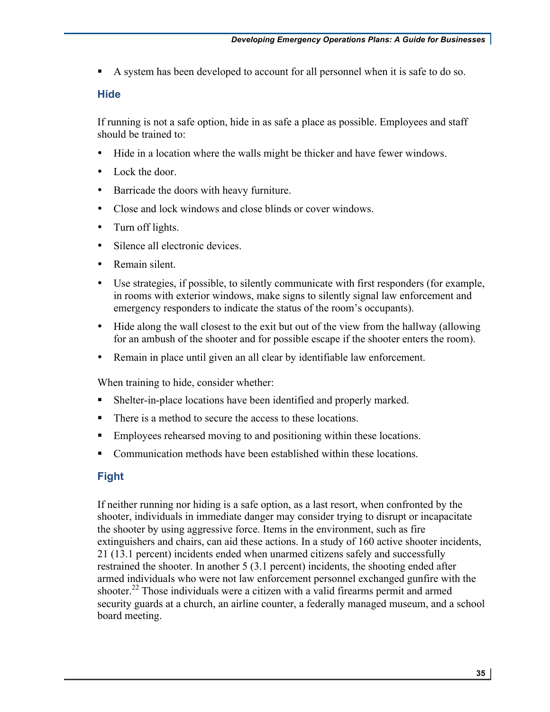• A system has been developed to account for all personnel when it is safe to do so.

## **Hide**

 If running is not a safe option, hide in as safe a place as possible. Employees and staff should be trained to:

- Hide in a location where the walls might be thicker and have fewer windows.
- Lock the door
- Barricade the doors with heavy furniture.
- Close and lock windows and close blinds or cover windows.
- Turn off lights.
- Silence all electronic devices.
- Remain silent.
- emergency responders to indicate the status of the room's occupants). • Use strategies, if possible, to silently communicate with first responders (for example, in rooms with exterior windows, make signs to silently signal law enforcement and
- for an ambush of the shooter and for possible escape if the shooter enters the room). • Hide along the wall closest to the exit but out of the view from the hallway (allowing
- Remain in place until given an all clear by identifiable law enforcement.

When training to hide, consider whether:

- Shelter-in-place locations have been identified and properly marked.
- There is a method to secure the access to these locations.
- Employees rehearsed moving to and positioning within these locations.
- Communication methods have been established within these locations.

# **Fight**

 shooter, individuals in immediate danger may consider trying to disrupt or incapacitate extinguishers and chairs, can aid these actions. In a study of 160 active shooter incidents, 21 (13.1 percent) incidents ended when unarmed citizens safely and successfully restrained the shooter. In another 5 (3.1 percent) incidents, the shooting ended after If neither running nor hiding is a safe option, as a last resort, when confronted by the the shooter by using aggressive force. Items in the environment, such as fire armed individuals who were not law enforcement personnel exchanged gunfire with the shooter.<sup>22</sup> Those individuals were a citizen with a valid firearms permit and armed security guards at a church, an airline counter, a federally managed museum, and a school board meeting.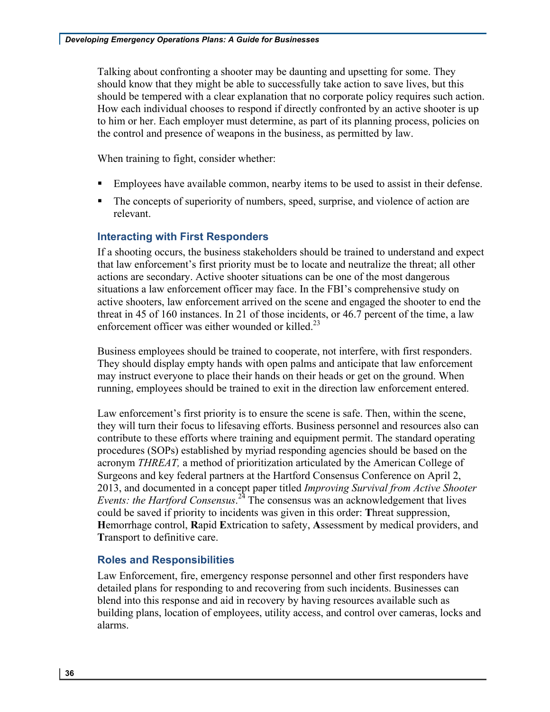should know that they might be able to successfully take action to save lives, but this the control and presence of weapons in the business, as permitted by law. Talking about confronting a shooter may be daunting and upsetting for some. They should be tempered with a clear explanation that no corporate policy requires such action. How each individual chooses to respond if directly confronted by an active shooter is up to him or her. Each employer must determine, as part of its planning process, policies on

When training to fight, consider whether:

- Employees have available common, nearby items to be used to assist in their defense.
- The concepts of superiority of numbers, speed, surprise, and violence of action are relevant.

# **Interacting with First Responders**

 If a shooting occurs, the business stakeholders should be trained to understand and expect that law enforcement's first priority must be to locate and neutralize the threat; all other situations a law enforcement officer may face. In the FBI's comprehensive study on threat in 45 of 160 instances. In 21 of those incidents, or 46.7 percent of the time, a law enforcement officer was either wounded or killed.<sup>23</sup> actions are secondary. Active shooter situations can be one of the most dangerous active shooters, law enforcement arrived on the scene and engaged the shooter to end the

 Business employees should be trained to cooperate, not interfere, with first responders. may instruct everyone to place their hands on their heads or get on the ground. When They should display empty hands with open palms and anticipate that law enforcement running, employees should be trained to exit in the direction law enforcement entered.

 procedures (SOPs) established by myriad responding agencies should be based on the acronym *THREAT,* a method of prioritization articulated by the American College of Surgeons and key federal partners at the Hartford Consensus Conference on April 2, *Events: the Hartford Consensus*.<sup>24</sup> The consensus was an acknowledgement that lives **H**emorrhage control, **R**apid **E**xtrication to safety, **A**ssessment by medical providers, and **T**ransport to definitive care. Law enforcement's first priority is to ensure the scene is safe. Then, within the scene, they will turn their focus to lifesaving efforts. Business personnel and resources also can contribute to these efforts where training and equipment permit. The standard operating 2013, and documented in a concept paper titled *Improving Survival from Active Shooter*  could be saved if priority to incidents was given in this order: **T**hreat suppression,

# **Roles and Responsibilities**

Law Enforcement, fire, emergency response personnel and other first responders have detailed plans for responding to and recovering from such incidents. Businesses can blend into this response and aid in recovery by having resources available such as building plans, location of employees, utility access, and control over cameras, locks and alarms.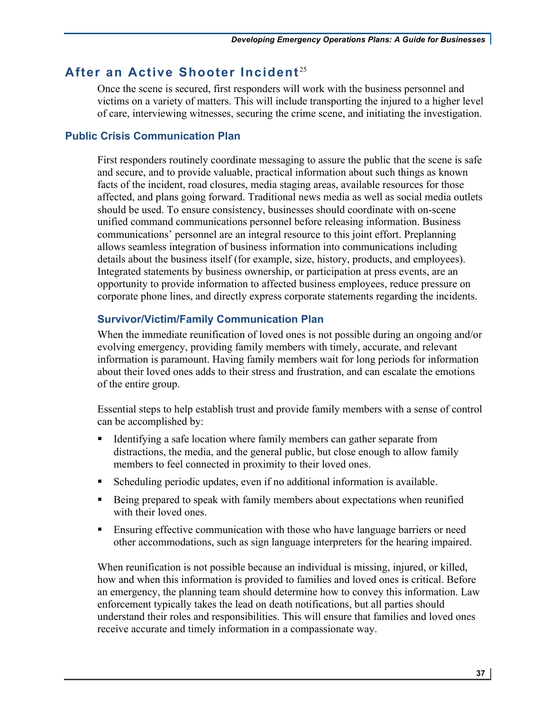# After an Active Shooter Incident<sup>25</sup>

 Once the scene is secured, first responders will work with the business personnel and victims on a variety of matters. This will include transporting the injured to a higher level of care, interviewing witnesses, securing the crime scene, and initiating the investigation.

### **Public Crisis Communication Plan**

 First responders routinely coordinate messaging to assure the public that the scene is safe facts of the incident, road closures, media staging areas, available resources for those should be used. To ensure consistency, businesses should coordinate with on-scene allows seamless integration of business information into communications including details about the business itself (for example, size, history, products, and employees). opportunity to provide information to affected business employees, reduce pressure on and secure, and to provide valuable, practical information about such things as known affected, and plans going forward. Traditional news media as well as social media outlets unified command communications personnel before releasing information. Business communications' personnel are an integral resource to this joint effort. Preplanning Integrated statements by business ownership, or participation at press events, are an corporate phone lines, and directly express corporate statements regarding the incidents.

# **Survivor/Victim/Family Communication Plan**

 When the immediate reunification of loved ones is not possible during an ongoing and/or evolving emergency, providing family members with timely, accurate, and relevant information is paramount. Having family members wait for long periods for information about their loved ones adds to their stress and frustration, and can escalate the emotions of the entire group.

Essential steps to help establish trust and provide family members with a sense of control can be accomplished by:

- • Identifying a safe location where family members can gather separate from distractions, the media, and the general public, but close enough to allow family members to feel connected in proximity to their loved ones.
- Scheduling periodic updates, even if no additional information is available.
- with their loved ones. • Being prepared to speak with family members about expectations when reunified
- Ensuring effective communication with those who have language barriers or need other accommodations, such as sign language interpreters for the hearing impaired.

 how and when this information is provided to families and loved ones is critical. Before an emergency, the planning team should determine how to convey this information. Law When reunification is not possible because an individual is missing, injured, or killed, enforcement typically takes the lead on death notifications, but all parties should understand their roles and responsibilities. This will ensure that families and loved ones receive accurate and timely information in a compassionate way.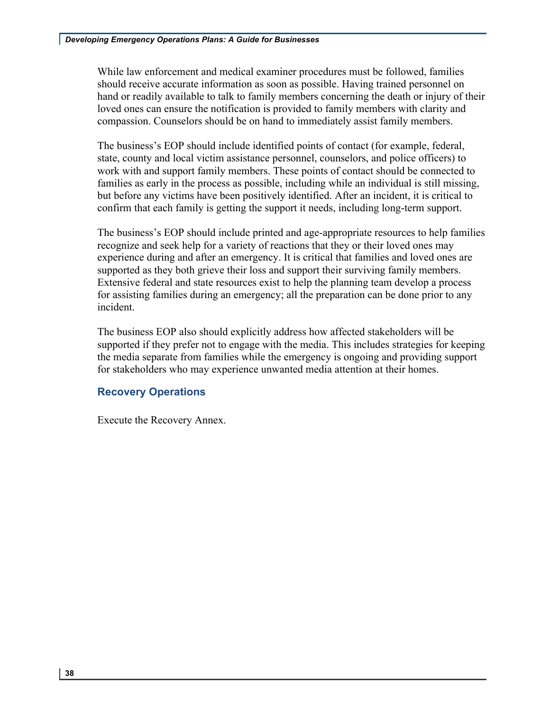should receive accurate information as soon as possible. Having trained personnel on hand or readily available to talk to family members concerning the death or injury of their loved ones can ensure the notification is provided to family members with clarity and While law enforcement and medical examiner procedures must be followed, families compassion. Counselors should be on hand to immediately assist family members.

 The business's EOP should include identified points of contact (for example, federal, state, county and local victim assistance personnel, counselors, and police officers) to work with and support family members. These points of contact should be connected to families as early in the process as possible, including while an individual is still missing, but before any victims have been positively identified. After an incident, it is critical to confirm that each family is getting the support it needs, including long-term support.

 The business's EOP should include printed and age-appropriate resources to help families experience during and after an emergency. It is critical that families and loved ones are supported as they both grieve their loss and support their surviving family members. Extensive federal and state resources exist to help the planning team develop a process for assisting families during an emergency; all the preparation can be done prior to any recognize and seek help for a variety of reactions that they or their loved ones may incident.

 the media separate from families while the emergency is ongoing and providing support The business EOP also should explicitly address how affected stakeholders will be supported if they prefer not to engage with the media. This includes strategies for keeping for stakeholders who may experience unwanted media attention at their homes.

# **Recovery Operations**

Execute the Recovery Annex.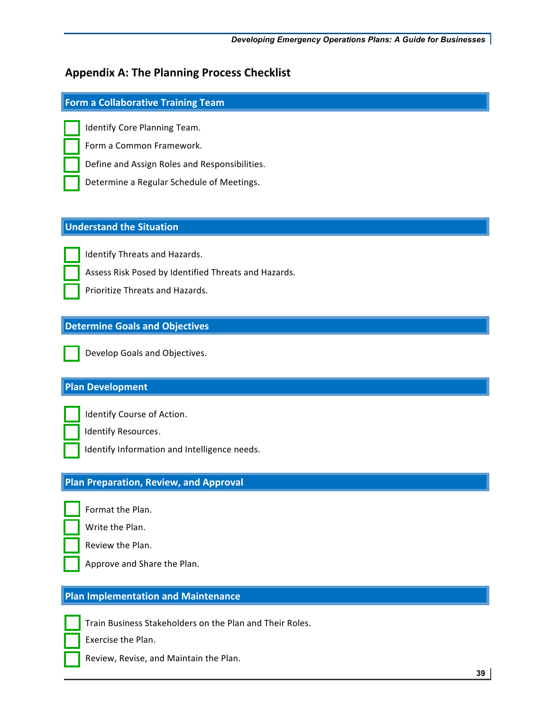# **Appendix A: The Planning Process Checklist**

# **Form a Collaborative Training Team**

Identify Core Planning Team.

Form a Common Framework.

 Define and Assign Roles and Responsibilities.

Determine a Regular Schedule of Meetings.

# **Understand the Situation**

Identify Threats and Hazards.

Assess Risk Posed by Identified Threats and Hazards.

Prioritize Threats and Hazards.

# **Determine Goals and Objectives**



 Develop Goals and Objectives.

# **Plan Development**



 Identify Course of Action.

Identify Resources.

Identify Information and Intelligence needs.

#### í **Plan Preparation, Review, and Approval**



 Write the Plan. Format the Plan.

 Review the Plan.

Approve and Share the Plan.

# **Plan Implementation and Maintenance**



 Train Business Stakeholders on the Plan and Their Roles.

Exercise the Plan. 

Review, Revise, and Maintain the Plan.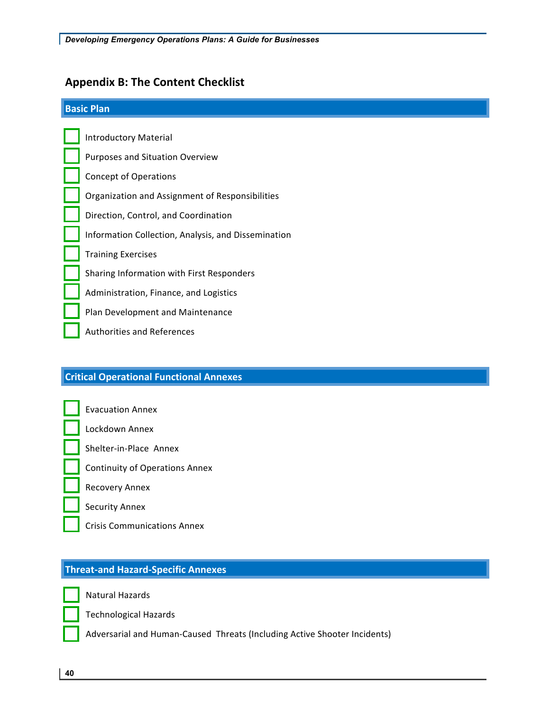# **Appendix B: The Content Checklist**

#### **Basic Plan**

 Organization and Assignment of Responsibilities Information Collection, Analysis, and Dissemination Training Exercises and officer with First Decorer developed Administration, Finance, and Logistics Plan Development and Maintenance Authorities and References Introductory Material Purposes and Situation Overview Concept of Operations Direction, Control, and Coordination Sharing Information with First Responders

#### **Critical Operational Functional Annexes** \_\_\_\_\_ l

Evacuation Annex

 $\mathbf{r}$   $\mathbf{r}$   $\mathbf{r}$   $\mathbf{r}$   $\mathbf{r}$   $\mathbf{r}$   $\mathbf{r}$   $\mathbf{r}$   $\mathbf{r}$   $\mathbf{r}$   $\mathbf{r}$   $\mathbf{r}$   $\mathbf{r}$   $\mathbf{r}$   $\mathbf{r}$   $\mathbf{r}$   $\mathbf{r}$   $\mathbf{r}$   $\mathbf{r}$   $\mathbf{r}$   $\mathbf{r}$   $\mathbf{r}$   $\mathbf{r}$   $\mathbf{r}$   $\math$ Lockdown Annex

- Shelter-in-Place Annex
- Continuity of Operations Annex

l, Recovery Annex

Security Annex

Crisis Communications Annex

# **Threat-and Hazard-Specific Annexes**



 $\mathcal{L}(\mathcal{L}^{\text{max}}_{\mathcal{L}})$ Natural Hazards

Technological Hazards

Adversarial and Human-Caused Threats (Including Active Shooter Incidents)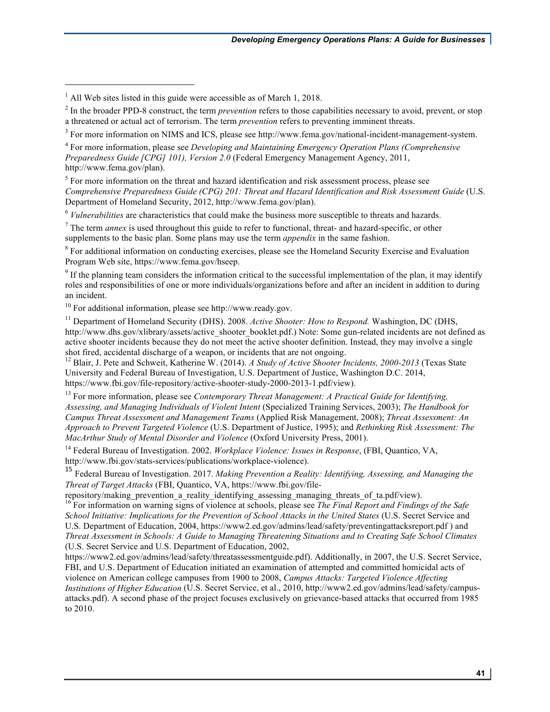$\overline{a}$ 

 $<sup>5</sup>$  For more information on the threat and hazard identification and risk assessment process, please see</sup>  *Comprehensive Preparedness Guide (CPG) 201: Threat and Hazard Identification and Risk Assessment Guide* (U.S. Department of Homeland Security, 2012, http://www.fema.gov/plan).

<sup>6</sup>*Vulnerabilities* are characteristics that could make the business more susceptible to threats and hazards.

<sup>7</sup> The term *annex* is used throughout this guide to refer to functional, threat- and hazard-specific, or other supplements to the basic plan. Some plans may use the term *appendix* in the same fashion.

<sup>8</sup> For additional information on conducting exercises, please see the Homeland Security Exercise and Evaluation Program Web site, https://www.fema.gov/hseep.

 $9<sup>9</sup>$  If the planning team considers the information critical to the successful implementation of the plan, it may identify roles and responsibilities of one or more individuals/organizations before and after an incident in addition to during an incident.

 $10$  For additional information, please see http://www.ready.gov.

<sup>11</sup> Department of Homeland Security (DHS). 2008. Active Shooter: How to Respond. Washington, DC (DHS, http://www.dhs.gov/xlibrary/assets/active\_shooter\_booklet.pdf.) Note: Some gun-related incidents are not defined as active shooter incidents because they do not meet the active shooter definition. Instead, they may involve a single shot fired, accidental discharge of a weapon, or incidents that are not ongoing.

<sup>12</sup> Blair, J. Pete and Schweit, Katherine W. (2014). *A Study of Active Shooter Incidents, 2000-2013* (Texas State University and Federal Bureau of Investigation, U.S. Department of Justice, Washington D.C. 2014, https://www.fbi.gov/file-repository/active-shooter-study-2000-2013-1.pdf/view).

<sup>13</sup> For more information, please see *Contemporary Threat Management: A Practical Guide for Identifying, Assessing, and Managing Individuals of Violent Intent* (Specialized Training Services, 2003); *The Handbook for Campus Threat Assessment and Management Teams* (Applied Risk Management, 2008); *Threat Assessment: An Approach to Prevent Targeted Violence* (U.S. Department of Justice, 1995); and *Rethinking Risk Assessment: The MacArthur Study of Mental Disorder and Violence* (Oxford University Press, 2001).

<sup>14</sup> Federal Bureau of Investigation. 2002. *Workplace Violence: Issues in Response*, (FBI, Quantico, VA, http://www.fbi.gov/stats-services/publications/workplace-violence).

 <sup>15</sup> Federal Bureau of Investigation. 2017. *Making Prevention a Reality: Identifying, Assessing, and Managing the Threat of Target Attacks* (FBI, Quantico, VA, https://www.fbi.gov/file-

repository/making\_prevention\_a\_reality\_identifying\_assessing\_managing\_threats\_of\_ta.pdf/view).

 <sup>16</sup>For information on warning signs of violence at schools, please see *The Final Report and Findings of the Safe School Initiative: Implications for the Prevention of School Attacks in the United States* (U.S. Secret Service and U.S. Department of Education, 2004, https://www2.ed.gov/admins/lead/safety/preventingattacksreport.pdf ) and  *Threat Assessment in Schools: A Guide to Managing Threatening Situations and to Creating Safe School Climates*  (U.S. Secret Service and U.S. Department of Education, 2002,

 https://www2.ed.gov/admins/lead/safety/threatassessmentguide.pdf). Additionally, in 2007, the U.S. Secret Service, FBI, and U.S. Department of Education initiated an examination of attempted and committed homicidal acts of violence on American college campuses from 1900 to 2008, *Campus Attacks: Targeted Violence Affecting Institutions of Higher Education* (U.S. Secret Service, et al., 2010, http://www2.ed.gov/admins/lead/safety/campus- attacks.pdf). A second phase of the project focuses exclusively on grievance-based attacks that occurred from 1985 to 2010.

**41**

 $<sup>1</sup>$  All Web sites listed in this guide were accessible as of March 1, 2018.</sup>

<sup>&</sup>lt;sup>2</sup> In the broader PPD-8 construct, the term *prevention* refers to those capabilities necessary to avoid, prevent, or stop a threatened or actual act of terrorism. The term *prevention* refers to preventing imminent threats.

 $3$  For more information on NIMS and ICS, please see http://www.fema.gov/national-incident-management-system.

 <sup>4</sup>For more information, please see *Developing and Maintaining Emergency Operation Plans (Comprehensive Preparedness Guide [CPG] 101), Version 2.0* (Federal Emergency Management Agency, 2011, http://www.fema.gov/plan).